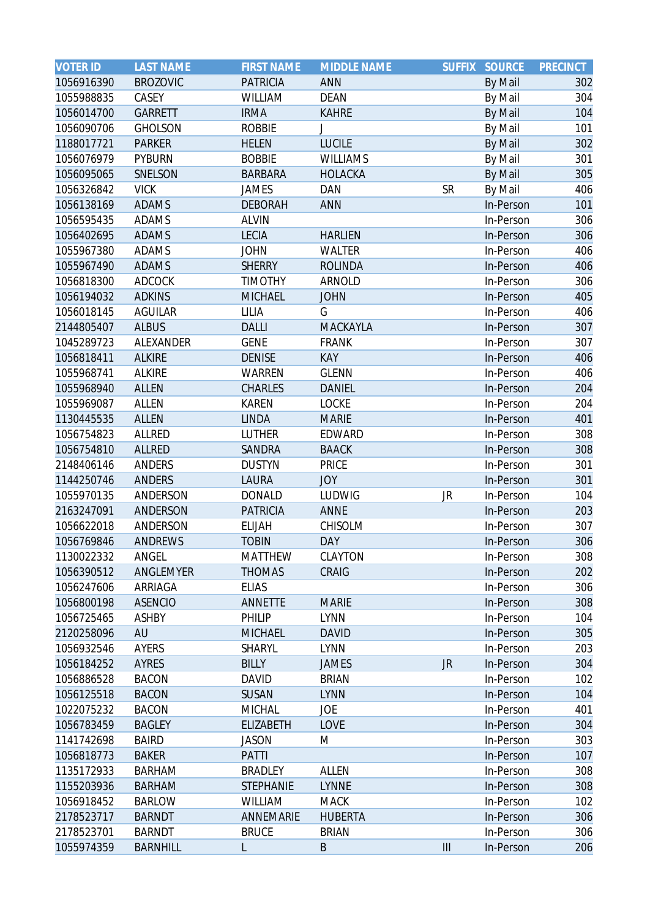| <b>VOTER ID</b> | <b>LAST NAME</b> | <b>FIRST NAME</b> | <b>MIDDLE NAME</b> | <b>SUFFIX</b>  | <b>SOURCE</b> | <b>PRECINCT</b> |
|-----------------|------------------|-------------------|--------------------|----------------|---------------|-----------------|
| 1056916390      | <b>BROZOVIC</b>  | <b>PATRICIA</b>   | <b>ANN</b>         |                | By Mail       | 302             |
| 1055988835      | CASEY            | <b>WILLIAM</b>    | <b>DEAN</b>        |                | By Mail       | 304             |
| 1056014700      | <b>GARRETT</b>   | <b>IRMA</b>       | <b>KAHRE</b>       |                | By Mail       | 104             |
| 1056090706      | <b>GHOLSON</b>   | <b>ROBBIE</b>     |                    |                | By Mail       | 101             |
| 1188017721      | <b>PARKER</b>    | <b>HELEN</b>      | <b>LUCILE</b>      |                | By Mail       | 302             |
| 1056076979      | PYBURN           | <b>BOBBIE</b>     | <b>WILLIAMS</b>    |                | By Mail       | 301             |
| 1056095065      | SNELSON          | <b>BARBARA</b>    | <b>HOLACKA</b>     |                | By Mail       | 305             |
| 1056326842      | <b>VICK</b>      | JAMES             | DAN                | <b>SR</b>      | By Mail       | 406             |
| 1056138169      | <b>ADAMS</b>     | <b>DEBORAH</b>    | <b>ANN</b>         |                | In-Person     | 101             |
| 1056595435      | ADAMS            | <b>ALVIN</b>      |                    |                | In-Person     | 306             |
| 1056402695      | <b>ADAMS</b>     | <b>LECIA</b>      | <b>HARLIEN</b>     |                | In-Person     | 306             |
| 1055967380      | ADAMS            | <b>JOHN</b>       | WALTER             |                | In-Person     | 406             |
| 1055967490      | <b>ADAMS</b>     | <b>SHERRY</b>     | <b>ROLINDA</b>     |                | In-Person     | 406             |
| 1056818300      | ADCOCK           | <b>TIMOTHY</b>    | ARNOLD             |                | In-Person     | 306             |
| 1056194032      | <b>ADKINS</b>    | <b>MICHAEL</b>    | <b>JOHN</b>        |                | In-Person     | 405             |
| 1056018145      | <b>AGUILAR</b>   | LILIA             | G                  |                | In-Person     | 406             |
| 2144805407      | <b>ALBUS</b>     | <b>DALLI</b>      | MACKAYLA           |                | In-Person     | 307             |
| 1045289723      | ALEXANDER        | <b>GENE</b>       | <b>FRANK</b>       |                | In-Person     | 307             |
| 1056818411      | <b>ALKIRE</b>    | <b>DENISE</b>     | <b>KAY</b>         |                | In-Person     | 406             |
| 1055968741      | <b>ALKIRE</b>    | <b>WARREN</b>     | <b>GLENN</b>       |                | In-Person     | 406             |
| 1055968940      | <b>ALLEN</b>     | <b>CHARLES</b>    | <b>DANIEL</b>      |                | In-Person     | 204             |
| 1055969087      | <b>ALLEN</b>     | <b>KAREN</b>      | <b>LOCKE</b>       |                | In-Person     | 204             |
| 1130445535      | <b>ALLEN</b>     | <b>LINDA</b>      | <b>MARIE</b>       |                | In-Person     | 401             |
| 1056754823      | ALLRED           | LUTHER            | EDWARD             |                | In-Person     | 308             |
| 1056754810      | <b>ALLRED</b>    | SANDRA            | <b>BAACK</b>       |                | In-Person     | 308             |
| 2148406146      | ANDERS           | <b>DUSTYN</b>     | <b>PRICE</b>       |                | In-Person     | 301             |
| 1144250746      | ANDERS           | LAURA             | <b>JOY</b>         |                | In-Person     | 301             |
| 1055970135      | ANDERSON         | <b>DONALD</b>     | LUDWIG             | JR             | In-Person     | 104             |
| 2163247091      | ANDERSON         | <b>PATRICIA</b>   | <b>ANNE</b>        |                | In-Person     | 203             |
| 1056622018      | ANDERSON         | <b>ELIJAH</b>     | CHISOLM            |                | In-Person     | 307             |
| 1056769846      | <b>ANDREWS</b>   | <b>TOBIN</b>      | <b>DAY</b>         |                | In-Person     | 306             |
| 1130022332      | ANGEL            | <b>MATTHEW</b>    | <b>CLAYTON</b>     |                | In-Person     | 308             |
| 1056390512      | ANGLEMYER        | <b>THOMAS</b>     | <b>CRAIG</b>       |                | In-Person     | 202             |
| 1056247606      | ARRIAGA          | <b>ELIAS</b>      |                    |                | In-Person     | 306             |
| 1056800198      | <b>ASENCIO</b>   | <b>ANNETTE</b>    | <b>MARIE</b>       |                | In-Person     | 308             |
| 1056725465      | <b>ASHBY</b>     | PHILIP            | <b>LYNN</b>        |                | In-Person     | 104             |
| 2120258096      | AU               | <b>MICHAEL</b>    | <b>DAVID</b>       |                | In-Person     | 305             |
| 1056932546      | AYERS            | SHARYL            | <b>LYNN</b>        |                | In-Person     | 203             |
| 1056184252      | AYRES            | <b>BILLY</b>      | <b>JAMES</b>       | <b>JR</b>      | In-Person     | 304             |
| 1056886528      | <b>BACON</b>     | <b>DAVID</b>      | <b>BRIAN</b>       |                | In-Person     | 102             |
| 1056125518      | <b>BACON</b>     | <b>SUSAN</b>      | <b>LYNN</b>        |                | In-Person     | 104             |
| 1022075232      | <b>BACON</b>     | <b>MICHAL</b>     | JOE                |                | In-Person     | 401             |
| 1056783459      | <b>BAGLEY</b>    | <b>ELIZABETH</b>  | LOVE               |                | In-Person     | 304             |
| 1141742698      | <b>BAIRD</b>     | <b>JASON</b>      | M                  |                | In-Person     | 303             |
| 1056818773      | <b>BAKER</b>     | <b>PATTI</b>      |                    |                | In-Person     | 107             |
| 1135172933      | <b>BARHAM</b>    | <b>BRADLEY</b>    | ALLEN              |                | In-Person     | 308             |
| 1155203936      | <b>BARHAM</b>    | <b>STEPHANIE</b>  | <b>LYNNE</b>       |                | In-Person     | 308             |
| 1056918452      | <b>BARLOW</b>    | <b>WILLIAM</b>    | <b>MACK</b>        |                | In-Person     | 102             |
| 2178523717      | <b>BARNDT</b>    | ANNEMARIE         | <b>HUBERTA</b>     |                | In-Person     | 306             |
| 2178523701      | <b>BARNDT</b>    | <b>BRUCE</b>      | <b>BRIAN</b>       |                | In-Person     | 306             |
| 1055974359      | <b>BARNHILL</b>  | L                 | $\sf B$            | $\mathbf{III}$ | In-Person     | 206             |
|                 |                  |                   |                    |                |               |                 |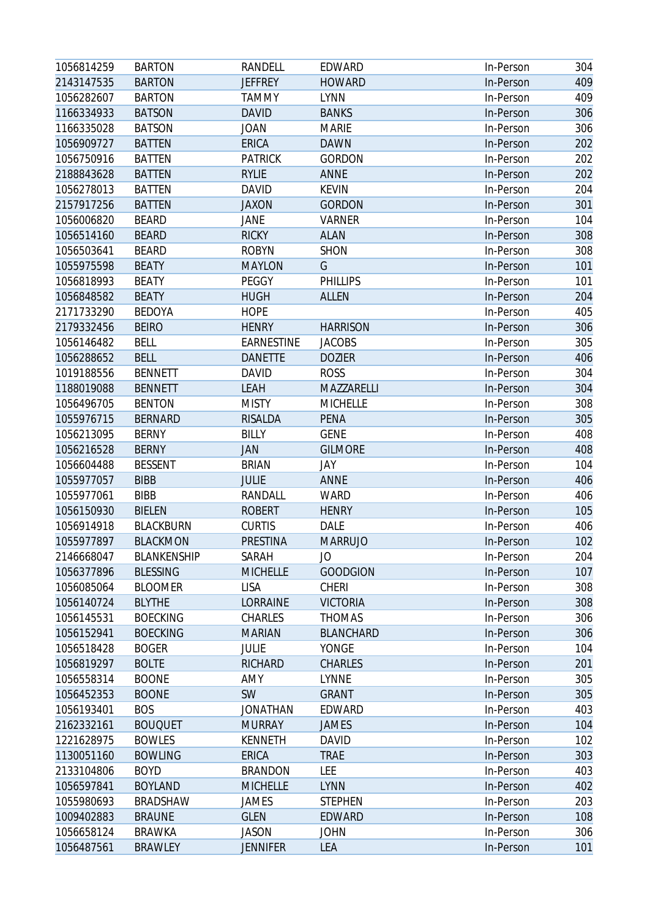| 1056814259 | <b>BARTON</b>      | RANDELL           | EDWARD           | In-Person | 304 |
|------------|--------------------|-------------------|------------------|-----------|-----|
| 2143147535 | <b>BARTON</b>      | <b>JEFFREY</b>    | <b>HOWARD</b>    | In-Person | 409 |
| 1056282607 | <b>BARTON</b>      | <b>TAMMY</b>      | <b>LYNN</b>      | In-Person | 409 |
| 1166334933 | <b>BATSON</b>      | <b>DAVID</b>      | <b>BANKS</b>     | In-Person | 306 |
| 1166335028 | <b>BATSON</b>      | <b>JOAN</b>       | <b>MARIE</b>     | In-Person | 306 |
| 1056909727 | <b>BATTEN</b>      | ERICA             | <b>DAWN</b>      | In-Person | 202 |
| 1056750916 | <b>BATTEN</b>      | <b>PATRICK</b>    | <b>GORDON</b>    | In-Person | 202 |
| 2188843628 | <b>BATTEN</b>      | <b>RYLIE</b>      | <b>ANNE</b>      | In-Person | 202 |
| 1056278013 | <b>BATTEN</b>      | <b>DAVID</b>      | <b>KEVIN</b>     | In-Person | 204 |
| 2157917256 | <b>BATTEN</b>      | <b>JAXON</b>      | <b>GORDON</b>    | In-Person | 301 |
| 1056006820 | <b>BEARD</b>       | JANE              | <b>VARNER</b>    | In-Person | 104 |
| 1056514160 | <b>BEARD</b>       | <b>RICKY</b>      | <b>ALAN</b>      | In-Person | 308 |
| 1056503641 | <b>BEARD</b>       | <b>ROBYN</b>      | <b>SHON</b>      | In-Person | 308 |
| 1055975598 | <b>BEATY</b>       | <b>MAYLON</b>     | G                | In-Person | 101 |
| 1056818993 | <b>BEATY</b>       | PEGGY             | <b>PHILLIPS</b>  | In-Person | 101 |
| 1056848582 | <b>BEATY</b>       | <b>HUGH</b>       | <b>ALLEN</b>     | In-Person | 204 |
| 2171733290 | <b>BEDOYA</b>      | <b>HOPE</b>       |                  | In-Person | 405 |
| 2179332456 | <b>BEIRO</b>       | <b>HENRY</b>      | <b>HARRISON</b>  | In-Person | 306 |
| 1056146482 | <b>BELL</b>        | <b>EARNESTINE</b> | <b>JACOBS</b>    | In-Person | 305 |
| 1056288652 | <b>BELL</b>        | <b>DANETTE</b>    | <b>DOZIER</b>    | In-Person | 406 |
| 1019188556 | <b>BENNETT</b>     | <b>DAVID</b>      | <b>ROSS</b>      | In-Person | 304 |
| 1188019088 | <b>BENNETT</b>     | <b>LEAH</b>       | MAZZARELLI       | In-Person | 304 |
| 1056496705 | <b>BENTON</b>      | <b>MISTY</b>      | <b>MICHELLE</b>  | In-Person | 308 |
| 1055976715 | <b>BERNARD</b>     | <b>RISALDA</b>    | <b>PENA</b>      | In-Person | 305 |
| 1056213095 | <b>BERNY</b>       | <b>BILLY</b>      | <b>GENE</b>      | In-Person | 408 |
| 1056216528 | <b>BERNY</b>       | JAN               | <b>GILMORE</b>   | In-Person | 408 |
| 1056604488 | <b>BESSENT</b>     | <b>BRIAN</b>      | JAY              | In-Person | 104 |
| 1055977057 | <b>BIBB</b>        | <b>JULIE</b>      | <b>ANNE</b>      | In-Person | 406 |
| 1055977061 | <b>BIBB</b>        | RANDALL           | <b>WARD</b>      | In-Person | 406 |
| 1056150930 | <b>BIELEN</b>      | <b>ROBERT</b>     | <b>HENRY</b>     | In-Person | 105 |
| 1056914918 | <b>BLACKBURN</b>   | <b>CURTIS</b>     | DALE             | In-Person | 406 |
| 1055977897 | <b>BLACKMON</b>    | PRESTINA          | <b>MARRUJO</b>   | In-Person | 102 |
| 2146668047 | <b>BLANKENSHIP</b> | SARAH             | JO               | In-Person | 204 |
| 1056377896 | <b>BLESSING</b>    | <b>MICHELLE</b>   | <b>GOODGION</b>  | In-Person | 107 |
| 1056085064 | <b>BLOOMER</b>     | <b>LISA</b>       | <b>CHERI</b>     | In-Person | 308 |
| 1056140724 | <b>BLYTHE</b>      | LORRAINE          | <b>VICTORIA</b>  | In-Person | 308 |
| 1056145531 | <b>BOECKING</b>    | CHARLES           | <b>THOMAS</b>    | In-Person | 306 |
| 1056152941 | <b>BOECKING</b>    | <b>MARIAN</b>     | <b>BLANCHARD</b> | In-Person | 306 |
| 1056518428 | <b>BOGER</b>       | <b>JULIE</b>      | <b>YONGE</b>     | In-Person | 104 |
| 1056819297 | <b>BOLTE</b>       | <b>RICHARD</b>    | <b>CHARLES</b>   | In-Person | 201 |
| 1056558314 | <b>BOONE</b>       | AMY               | <b>LYNNE</b>     | In-Person | 305 |
| 1056452353 | <b>BOONE</b>       | SW                | <b>GRANT</b>     | In-Person | 305 |
| 1056193401 | <b>BOS</b>         | JONATHAN          | EDWARD           | In-Person | 403 |
| 2162332161 | <b>BOUQUET</b>     | <b>MURRAY</b>     | <b>JAMES</b>     | In-Person | 104 |
| 1221628975 | <b>BOWLES</b>      | <b>KENNETH</b>    | <b>DAVID</b>     | In-Person | 102 |
| 1130051160 | <b>BOWLING</b>     | <b>ERICA</b>      | <b>TRAE</b>      | In-Person | 303 |
| 2133104806 | <b>BOYD</b>        | <b>BRANDON</b>    | LEE              | In-Person | 403 |
| 1056597841 | <b>BOYLAND</b>     | <b>MICHELLE</b>   | <b>LYNN</b>      | In-Person | 402 |
| 1055980693 | <b>BRADSHAW</b>    | JAMES             | <b>STEPHEN</b>   | In-Person | 203 |
| 1009402883 | <b>BRAUNE</b>      | <b>GLEN</b>       | EDWARD           | In-Person | 108 |
| 1056658124 | <b>BRAWKA</b>      | <b>JASON</b>      | <b>JOHN</b>      | In-Person | 306 |
| 1056487561 | <b>BRAWLEY</b>     | <b>JENNIFER</b>   | <b>LEA</b>       | In-Person | 101 |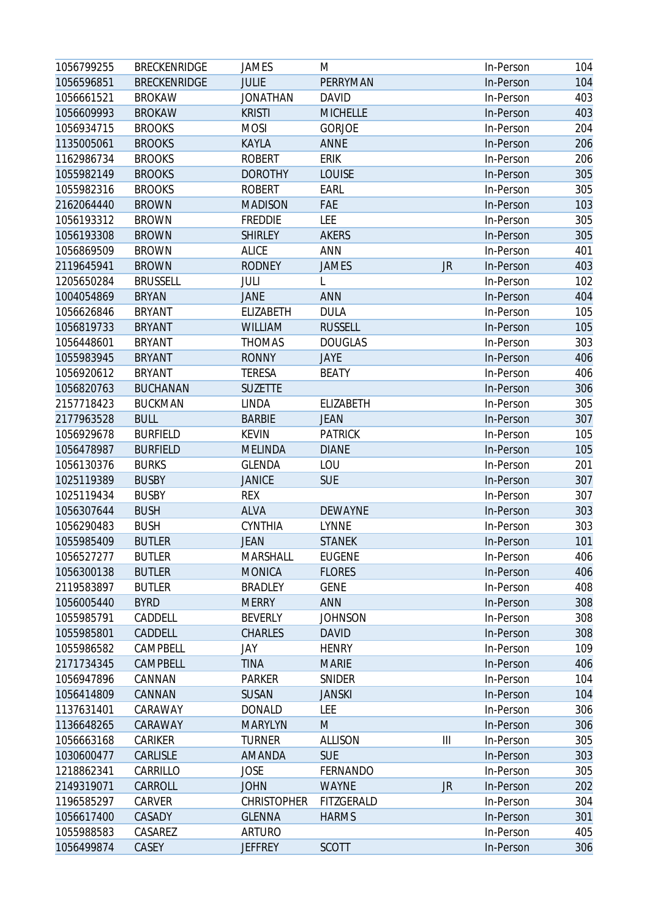| 1056799255 | <b>BRECKENRIDGE</b> | <b>JAMES</b>       | M               |           | In-Person | 104 |
|------------|---------------------|--------------------|-----------------|-----------|-----------|-----|
| 1056596851 | <b>BRECKENRIDGE</b> | <b>JULIE</b>       | PERRYMAN        |           | In-Person | 104 |
| 1056661521 | <b>BROKAW</b>       | <b>JONATHAN</b>    | <b>DAVID</b>    |           | In-Person | 403 |
| 1056609993 | <b>BROKAW</b>       | <b>KRISTI</b>      | <b>MICHELLE</b> |           | In-Person | 403 |
| 1056934715 | <b>BROOKS</b>       | <b>MOSI</b>        | <b>GORJOE</b>   |           | In-Person | 204 |
| 1135005061 | <b>BROOKS</b>       | <b>KAYLA</b>       | <b>ANNE</b>     |           | In-Person | 206 |
| 1162986734 | <b>BROOKS</b>       | <b>ROBERT</b>      | <b>ERIK</b>     |           | In-Person | 206 |
| 1055982149 | <b>BROOKS</b>       | <b>DOROTHY</b>     | <b>LOUISE</b>   |           | In-Person | 305 |
| 1055982316 | <b>BROOKS</b>       | <b>ROBERT</b>      | EARL            |           | In-Person | 305 |
| 2162064440 | <b>BROWN</b>        | <b>MADISON</b>     | FAE             |           | In-Person | 103 |
| 1056193312 | <b>BROWN</b>        | <b>FREDDIE</b>     | LEE             |           | In-Person | 305 |
| 1056193308 | <b>BROWN</b>        | <b>SHIRLEY</b>     | <b>AKERS</b>    |           | In-Person | 305 |
| 1056869509 | <b>BROWN</b>        | <b>ALICE</b>       | ANN             |           | In-Person | 401 |
| 2119645941 | <b>BROWN</b>        | <b>RODNEY</b>      | <b>JAMES</b>    | JR        | In-Person | 403 |
| 1205650284 | <b>BRUSSELL</b>     | JULI               | L               |           | In-Person | 102 |
| 1004054869 | <b>BRYAN</b>        | <b>JANE</b>        | <b>ANN</b>      |           | In-Person | 404 |
| 1056626846 | <b>BRYANT</b>       | ELIZABETH          | <b>DULA</b>     |           | In-Person | 105 |
| 1056819733 | <b>BRYANT</b>       | <b>WILLIAM</b>     | <b>RUSSELL</b>  |           | In-Person | 105 |
| 1056448601 | <b>BRYANT</b>       | <b>THOMAS</b>      | <b>DOUGLAS</b>  |           | In-Person | 303 |
| 1055983945 | <b>BRYANT</b>       | <b>RONNY</b>       | JAYE            |           | In-Person | 406 |
| 1056920612 | <b>BRYANT</b>       | <b>TERESA</b>      | <b>BEATY</b>    |           | In-Person | 406 |
| 1056820763 | <b>BUCHANAN</b>     | <b>SUZETTE</b>     |                 |           | In-Person | 306 |
| 2157718423 | <b>BUCKMAN</b>      | <b>LINDA</b>       | ELIZABETH       |           | In-Person | 305 |
| 2177963528 | <b>BULL</b>         | <b>BARBIE</b>      | <b>JEAN</b>     |           | In-Person | 307 |
| 1056929678 | <b>BURFIELD</b>     | <b>KEVIN</b>       | <b>PATRICK</b>  |           | In-Person | 105 |
| 1056478987 | <b>BURFIELD</b>     | <b>MELINDA</b>     | <b>DIANE</b>    |           | In-Person | 105 |
| 1056130376 | <b>BURKS</b>        | <b>GLENDA</b>      | LOU             |           | In-Person | 201 |
| 1025119389 | <b>BUSBY</b>        | <b>JANICE</b>      | <b>SUE</b>      |           | In-Person | 307 |
| 1025119434 | <b>BUSBY</b>        | <b>REX</b>         |                 |           | In-Person | 307 |
| 1056307644 | <b>BUSH</b>         | <b>ALVA</b>        | <b>DEWAYNE</b>  |           | In-Person | 303 |
| 1056290483 | <b>BUSH</b>         | <b>CYNTHIA</b>     | <b>LYNNE</b>    |           | In-Person | 303 |
| 1055985409 | <b>BUTLER</b>       | <b>JEAN</b>        | <b>STANEK</b>   |           | In-Person | 101 |
| 1056527277 | <b>BUTLER</b>       | <b>MARSHALL</b>    | <b>EUGENE</b>   |           | In-Person | 406 |
| 1056300138 | <b>BUTLER</b>       | <b>MONICA</b>      | <b>FLORES</b>   |           | In-Person | 406 |
| 2119583897 | <b>BUTLER</b>       | <b>BRADLEY</b>     | <b>GENE</b>     |           | In-Person | 408 |
| 1056005440 | <b>BYRD</b>         | <b>MERRY</b>       | <b>ANN</b>      |           | In-Person | 308 |
| 1055985791 | CADDELL             | <b>BEVERLY</b>     | <b>JOHNSON</b>  |           | In-Person | 308 |
| 1055985801 | CADDELL             | <b>CHARLES</b>     | <b>DAVID</b>    |           | In-Person | 308 |
| 1055986582 | CAMPBELL            | JAY                | <b>HENRY</b>    |           | In-Person | 109 |
| 2171734345 | CAMPBELL            | <b>TINA</b>        | <b>MARIE</b>    |           | In-Person | 406 |
| 1056947896 | CANNAN              | <b>PARKER</b>      | SNIDER          |           | In-Person | 104 |
| 1056414809 | CANNAN              | <b>SUSAN</b>       | <b>JANSKI</b>   |           | In-Person | 104 |
| 1137631401 | CARAWAY             | <b>DONALD</b>      | LEE             |           | In-Person | 306 |
| 1136648265 | CARAWAY             | <b>MARYLYN</b>     | M               |           | In-Person | 306 |
| 1056663168 | CARIKER             | <b>TURNER</b>      | <b>ALLISON</b>  | Ш         | In-Person | 305 |
| 1030600477 | CARLISLE            | AMANDA             | <b>SUE</b>      |           | In-Person | 303 |
| 1218862341 | CARRILLO            | <b>JOSE</b>        | FERNANDO        |           | In-Person | 305 |
| 2149319071 | CARROLL             | <b>JOHN</b>        | <b>WAYNE</b>    | <b>JR</b> | In-Person | 202 |
| 1196585297 | CARVER              | <b>CHRISTOPHER</b> | FITZGERALD      |           | In-Person | 304 |
| 1056617400 | CASADY              | <b>GLENNA</b>      | <b>HARMS</b>    |           | In-Person | 301 |
| 1055988583 | CASAREZ             | <b>ARTURO</b>      |                 |           |           | 405 |
|            |                     |                    |                 |           | In-Person |     |
| 1056499874 | CASEY               | <b>JEFFREY</b>     | <b>SCOTT</b>    |           | In-Person | 306 |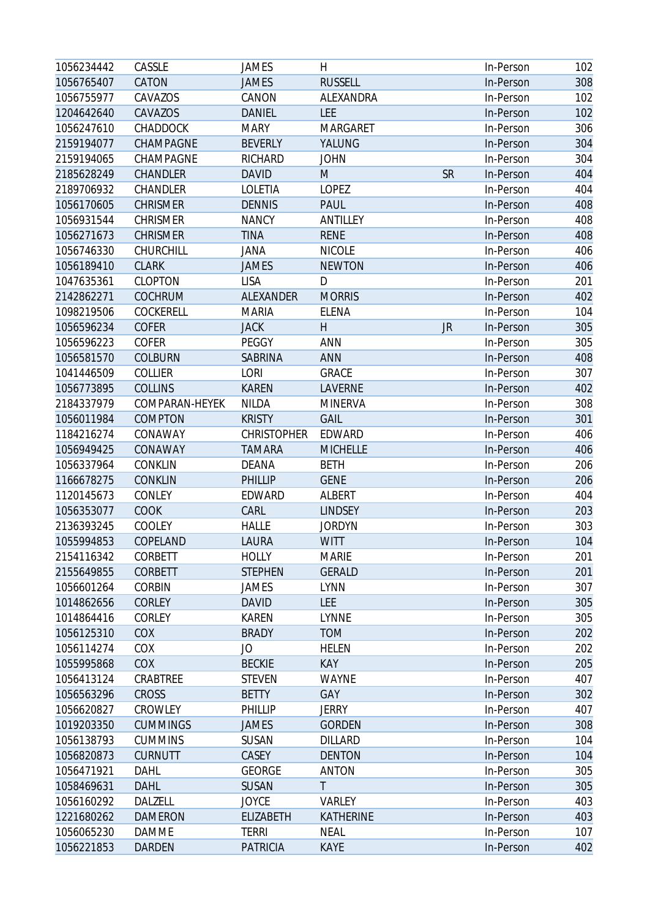| CATON<br><b>RUSSELL</b><br>308<br>1056765407<br><b>JAMES</b><br>In-Person<br>1056755977<br>CAVAZOS<br>CANON<br>ALEXANDRA<br>102<br>In-Person<br>CAVAZOS<br>LEE<br>1204642640<br><b>DANIEL</b><br>102<br>In-Person<br>306<br>1056247610<br>CHADDOCK<br><b>MARY</b><br><b>MARGARET</b><br>In-Person<br>304<br>2159194077<br>CHAMPAGNE<br><b>BEVERLY</b><br>YALUNG<br>In-Person<br>CHAMPAGNE<br><b>RICHARD</b><br><b>JOHN</b><br>304<br>In-Person<br><b>DAVID</b><br><b>SR</b><br>404<br>CHANDLER<br>M<br>In-Person<br>LOPEZ<br>404<br>2189706932<br>CHANDLER<br>LOLETIA<br>In-Person<br><b>CHRISMER</b><br><b>DENNIS</b><br>408<br>1056170605<br>PAUL<br>In-Person<br><b>CHRISMER</b><br>ANTILLEY<br>408<br>1056931544<br><b>NANCY</b><br>In-Person<br><b>TINA</b><br>408<br>1056271673<br><b>CHRISMER</b><br><b>RENE</b><br>In-Person<br>406<br>1056746330<br>CHURCHILL<br><b>JANA</b><br><b>NICOLE</b><br>In-Person<br><b>CLARK</b><br><b>NEWTON</b><br>406<br>1056189410<br><b>JAMES</b><br>In-Person<br><b>CLOPTON</b><br><b>LISA</b><br>D<br>201<br>1047635361<br>In-Person<br><b>COCHRUM</b><br><b>MORRIS</b><br>402<br>2142862271<br>ALEXANDER<br>In-Person<br><b>ELENA</b><br>104<br>1098219506<br>COCKERELL<br><b>MARIA</b><br>In-Person<br><b>JACK</b><br>H<br>305<br>1056596234<br><b>COFER</b><br><b>JR</b><br>In-Person<br>PEGGY<br>305<br>1056596223<br><b>COFER</b><br>ANN<br>In-Person<br><b>COLBURN</b><br>ANN<br>408<br>1056581570<br>SABRINA<br>In-Person<br>LORI<br><b>GRACE</b><br>307<br>COLLIER<br>1041446509<br>In-Person<br><b>KAREN</b><br><b>LAVERNE</b><br>402<br>1056773895<br><b>COLLINS</b><br>In-Person<br>2184337979<br>COMPARAN-HEYEK<br><b>NILDA</b><br><b>MINERVA</b><br>308<br>In-Person<br><b>GAIL</b><br>301<br>1056011984<br>COMPTON<br><b>KRISTY</b><br>In-Person<br>406<br>1184216274<br>CONAWAY<br><b>CHRISTOPHER</b><br>EDWARD<br>In-Person<br><b>MICHELLE</b><br>1056949425<br>CONAWAY<br><b>TAMARA</b><br>In-Person<br>406<br>1056337964<br><b>CONKLIN</b><br>DEANA<br><b>BETH</b><br>206<br>In-Person<br><b>CONKLIN</b><br>PHILLIP<br>206<br>1166678275<br><b>GENE</b><br>In-Person<br>404<br>1120145673<br>CONLEY<br>EDWARD<br>ALBERT<br>In-Person<br>CARL<br>203<br>1056353077<br>COOK<br><b>LINDSEY</b><br>In-Person<br>303<br>2136393245<br>COOLEY<br><b>HALLE</b><br><b>JORDYN</b><br>In-Person<br>104<br>1055994853<br>COPELAND<br>LAURA<br><b>WITT</b><br>In-Person<br><b>HOLLY</b><br>CORBETT<br><b>MARIE</b><br>In-Person<br>201<br>2154116342<br><b>GERALD</b><br>2155649855<br><b>CORBETT</b><br><b>STEPHEN</b><br>In-Person<br>201<br>307<br>1056601264<br><b>CORBIN</b><br><b>LYNN</b><br>JAMES<br>In-Person<br>305<br>1014862656<br><b>CORLEY</b><br><b>DAVID</b><br><b>LEE</b><br>In-Person<br>1014864416<br>CORLEY<br><b>KAREN</b><br><b>LYNNE</b><br>305<br>In-Person<br>COX<br><b>BRADY</b><br><b>TOM</b><br>202<br>1056125310<br>In-Person<br>1056114274<br>COX<br>JO<br><b>HELEN</b><br>202<br>In-Person<br>COX<br><b>BECKIE</b><br><b>KAY</b><br>1055995868<br>205<br>In-Person<br>407<br>1056413124<br>CRABTREE<br><b>STEVEN</b><br><b>WAYNE</b><br>In-Person<br>GAY<br>302<br>1056563296<br>CROSS<br><b>BETTY</b><br>In-Person<br>1056620827<br>CROWLEY<br>PHILLIP<br><b>JERRY</b><br>407<br>In-Person<br>308<br>1019203350<br><b>CUMMINGS</b><br>JAMES<br><b>GORDEN</b><br>In-Person<br>1056138793<br><b>CUMMINS</b><br>SUSAN<br><b>DILLARD</b><br>104<br>In-Person<br>1056820873<br><b>CURNUTT</b><br>CASEY<br><b>DENTON</b><br>104<br>In-Person<br><b>ANTON</b><br>305<br>1056471921<br><b>DAHL</b><br><b>GEORGE</b><br>In-Person<br>T<br>305<br>1058469631<br>DAHL<br><b>SUSAN</b><br>In-Person<br>1056160292<br>DALZELL<br><b>JOYCE</b><br>403<br>VARLEY<br>In-Person<br>403<br>1221680262<br><b>DAMERON</b><br><b>ELIZABETH</b><br>KATHERINE<br>In-Person<br>1056065230<br><b>DAMME</b><br><b>TERRI</b><br><b>NEAL</b><br>107<br>In-Person<br>1056221853<br>402<br>DARDEN<br><b>PATRICIA</b><br>KAYE<br>In-Person | 1056234442 | CASSLE | <b>JAMES</b> | H | In-Person | 102 |
|---------------------------------------------------------------------------------------------------------------------------------------------------------------------------------------------------------------------------------------------------------------------------------------------------------------------------------------------------------------------------------------------------------------------------------------------------------------------------------------------------------------------------------------------------------------------------------------------------------------------------------------------------------------------------------------------------------------------------------------------------------------------------------------------------------------------------------------------------------------------------------------------------------------------------------------------------------------------------------------------------------------------------------------------------------------------------------------------------------------------------------------------------------------------------------------------------------------------------------------------------------------------------------------------------------------------------------------------------------------------------------------------------------------------------------------------------------------------------------------------------------------------------------------------------------------------------------------------------------------------------------------------------------------------------------------------------------------------------------------------------------------------------------------------------------------------------------------------------------------------------------------------------------------------------------------------------------------------------------------------------------------------------------------------------------------------------------------------------------------------------------------------------------------------------------------------------------------------------------------------------------------------------------------------------------------------------------------------------------------------------------------------------------------------------------------------------------------------------------------------------------------------------------------------------------------------------------------------------------------------------------------------------------------------------------------------------------------------------------------------------------------------------------------------------------------------------------------------------------------------------------------------------------------------------------------------------------------------------------------------------------------------------------------------------------------------------------------------------------------------------------------------------------------------------------------------------------------------------------------------------------------------------------------------------------------------------------------------------------------------------------------------------------------------------------------------------------------------------------------------------------------------------------------------------------------------------------------------------------------------------------------------------------------------------------------------------------------------------------------------------------------------------------------------------------------------------------------------------------------------------------------------------------------------------------------------------------------------------------------------|------------|--------|--------------|---|-----------|-----|
|                                                                                                                                                                                                                                                                                                                                                                                                                                                                                                                                                                                                                                                                                                                                                                                                                                                                                                                                                                                                                                                                                                                                                                                                                                                                                                                                                                                                                                                                                                                                                                                                                                                                                                                                                                                                                                                                                                                                                                                                                                                                                                                                                                                                                                                                                                                                                                                                                                                                                                                                                                                                                                                                                                                                                                                                                                                                                                                                                                                                                                                                                                                                                                                                                                                                                                                                                                                                                                                                                                                                                                                                                                                                                                                                                                                                                                                                                                                                                                                             |            |        |              |   |           |     |
|                                                                                                                                                                                                                                                                                                                                                                                                                                                                                                                                                                                                                                                                                                                                                                                                                                                                                                                                                                                                                                                                                                                                                                                                                                                                                                                                                                                                                                                                                                                                                                                                                                                                                                                                                                                                                                                                                                                                                                                                                                                                                                                                                                                                                                                                                                                                                                                                                                                                                                                                                                                                                                                                                                                                                                                                                                                                                                                                                                                                                                                                                                                                                                                                                                                                                                                                                                                                                                                                                                                                                                                                                                                                                                                                                                                                                                                                                                                                                                                             |            |        |              |   |           |     |
|                                                                                                                                                                                                                                                                                                                                                                                                                                                                                                                                                                                                                                                                                                                                                                                                                                                                                                                                                                                                                                                                                                                                                                                                                                                                                                                                                                                                                                                                                                                                                                                                                                                                                                                                                                                                                                                                                                                                                                                                                                                                                                                                                                                                                                                                                                                                                                                                                                                                                                                                                                                                                                                                                                                                                                                                                                                                                                                                                                                                                                                                                                                                                                                                                                                                                                                                                                                                                                                                                                                                                                                                                                                                                                                                                                                                                                                                                                                                                                                             |            |        |              |   |           |     |
|                                                                                                                                                                                                                                                                                                                                                                                                                                                                                                                                                                                                                                                                                                                                                                                                                                                                                                                                                                                                                                                                                                                                                                                                                                                                                                                                                                                                                                                                                                                                                                                                                                                                                                                                                                                                                                                                                                                                                                                                                                                                                                                                                                                                                                                                                                                                                                                                                                                                                                                                                                                                                                                                                                                                                                                                                                                                                                                                                                                                                                                                                                                                                                                                                                                                                                                                                                                                                                                                                                                                                                                                                                                                                                                                                                                                                                                                                                                                                                                             |            |        |              |   |           |     |
|                                                                                                                                                                                                                                                                                                                                                                                                                                                                                                                                                                                                                                                                                                                                                                                                                                                                                                                                                                                                                                                                                                                                                                                                                                                                                                                                                                                                                                                                                                                                                                                                                                                                                                                                                                                                                                                                                                                                                                                                                                                                                                                                                                                                                                                                                                                                                                                                                                                                                                                                                                                                                                                                                                                                                                                                                                                                                                                                                                                                                                                                                                                                                                                                                                                                                                                                                                                                                                                                                                                                                                                                                                                                                                                                                                                                                                                                                                                                                                                             |            |        |              |   |           |     |
|                                                                                                                                                                                                                                                                                                                                                                                                                                                                                                                                                                                                                                                                                                                                                                                                                                                                                                                                                                                                                                                                                                                                                                                                                                                                                                                                                                                                                                                                                                                                                                                                                                                                                                                                                                                                                                                                                                                                                                                                                                                                                                                                                                                                                                                                                                                                                                                                                                                                                                                                                                                                                                                                                                                                                                                                                                                                                                                                                                                                                                                                                                                                                                                                                                                                                                                                                                                                                                                                                                                                                                                                                                                                                                                                                                                                                                                                                                                                                                                             | 2159194065 |        |              |   |           |     |
|                                                                                                                                                                                                                                                                                                                                                                                                                                                                                                                                                                                                                                                                                                                                                                                                                                                                                                                                                                                                                                                                                                                                                                                                                                                                                                                                                                                                                                                                                                                                                                                                                                                                                                                                                                                                                                                                                                                                                                                                                                                                                                                                                                                                                                                                                                                                                                                                                                                                                                                                                                                                                                                                                                                                                                                                                                                                                                                                                                                                                                                                                                                                                                                                                                                                                                                                                                                                                                                                                                                                                                                                                                                                                                                                                                                                                                                                                                                                                                                             | 2185628249 |        |              |   |           |     |
|                                                                                                                                                                                                                                                                                                                                                                                                                                                                                                                                                                                                                                                                                                                                                                                                                                                                                                                                                                                                                                                                                                                                                                                                                                                                                                                                                                                                                                                                                                                                                                                                                                                                                                                                                                                                                                                                                                                                                                                                                                                                                                                                                                                                                                                                                                                                                                                                                                                                                                                                                                                                                                                                                                                                                                                                                                                                                                                                                                                                                                                                                                                                                                                                                                                                                                                                                                                                                                                                                                                                                                                                                                                                                                                                                                                                                                                                                                                                                                                             |            |        |              |   |           |     |
|                                                                                                                                                                                                                                                                                                                                                                                                                                                                                                                                                                                                                                                                                                                                                                                                                                                                                                                                                                                                                                                                                                                                                                                                                                                                                                                                                                                                                                                                                                                                                                                                                                                                                                                                                                                                                                                                                                                                                                                                                                                                                                                                                                                                                                                                                                                                                                                                                                                                                                                                                                                                                                                                                                                                                                                                                                                                                                                                                                                                                                                                                                                                                                                                                                                                                                                                                                                                                                                                                                                                                                                                                                                                                                                                                                                                                                                                                                                                                                                             |            |        |              |   |           |     |
|                                                                                                                                                                                                                                                                                                                                                                                                                                                                                                                                                                                                                                                                                                                                                                                                                                                                                                                                                                                                                                                                                                                                                                                                                                                                                                                                                                                                                                                                                                                                                                                                                                                                                                                                                                                                                                                                                                                                                                                                                                                                                                                                                                                                                                                                                                                                                                                                                                                                                                                                                                                                                                                                                                                                                                                                                                                                                                                                                                                                                                                                                                                                                                                                                                                                                                                                                                                                                                                                                                                                                                                                                                                                                                                                                                                                                                                                                                                                                                                             |            |        |              |   |           |     |
|                                                                                                                                                                                                                                                                                                                                                                                                                                                                                                                                                                                                                                                                                                                                                                                                                                                                                                                                                                                                                                                                                                                                                                                                                                                                                                                                                                                                                                                                                                                                                                                                                                                                                                                                                                                                                                                                                                                                                                                                                                                                                                                                                                                                                                                                                                                                                                                                                                                                                                                                                                                                                                                                                                                                                                                                                                                                                                                                                                                                                                                                                                                                                                                                                                                                                                                                                                                                                                                                                                                                                                                                                                                                                                                                                                                                                                                                                                                                                                                             |            |        |              |   |           |     |
|                                                                                                                                                                                                                                                                                                                                                                                                                                                                                                                                                                                                                                                                                                                                                                                                                                                                                                                                                                                                                                                                                                                                                                                                                                                                                                                                                                                                                                                                                                                                                                                                                                                                                                                                                                                                                                                                                                                                                                                                                                                                                                                                                                                                                                                                                                                                                                                                                                                                                                                                                                                                                                                                                                                                                                                                                                                                                                                                                                                                                                                                                                                                                                                                                                                                                                                                                                                                                                                                                                                                                                                                                                                                                                                                                                                                                                                                                                                                                                                             |            |        |              |   |           |     |
|                                                                                                                                                                                                                                                                                                                                                                                                                                                                                                                                                                                                                                                                                                                                                                                                                                                                                                                                                                                                                                                                                                                                                                                                                                                                                                                                                                                                                                                                                                                                                                                                                                                                                                                                                                                                                                                                                                                                                                                                                                                                                                                                                                                                                                                                                                                                                                                                                                                                                                                                                                                                                                                                                                                                                                                                                                                                                                                                                                                                                                                                                                                                                                                                                                                                                                                                                                                                                                                                                                                                                                                                                                                                                                                                                                                                                                                                                                                                                                                             |            |        |              |   |           |     |
|                                                                                                                                                                                                                                                                                                                                                                                                                                                                                                                                                                                                                                                                                                                                                                                                                                                                                                                                                                                                                                                                                                                                                                                                                                                                                                                                                                                                                                                                                                                                                                                                                                                                                                                                                                                                                                                                                                                                                                                                                                                                                                                                                                                                                                                                                                                                                                                                                                                                                                                                                                                                                                                                                                                                                                                                                                                                                                                                                                                                                                                                                                                                                                                                                                                                                                                                                                                                                                                                                                                                                                                                                                                                                                                                                                                                                                                                                                                                                                                             |            |        |              |   |           |     |
|                                                                                                                                                                                                                                                                                                                                                                                                                                                                                                                                                                                                                                                                                                                                                                                                                                                                                                                                                                                                                                                                                                                                                                                                                                                                                                                                                                                                                                                                                                                                                                                                                                                                                                                                                                                                                                                                                                                                                                                                                                                                                                                                                                                                                                                                                                                                                                                                                                                                                                                                                                                                                                                                                                                                                                                                                                                                                                                                                                                                                                                                                                                                                                                                                                                                                                                                                                                                                                                                                                                                                                                                                                                                                                                                                                                                                                                                                                                                                                                             |            |        |              |   |           |     |
|                                                                                                                                                                                                                                                                                                                                                                                                                                                                                                                                                                                                                                                                                                                                                                                                                                                                                                                                                                                                                                                                                                                                                                                                                                                                                                                                                                                                                                                                                                                                                                                                                                                                                                                                                                                                                                                                                                                                                                                                                                                                                                                                                                                                                                                                                                                                                                                                                                                                                                                                                                                                                                                                                                                                                                                                                                                                                                                                                                                                                                                                                                                                                                                                                                                                                                                                                                                                                                                                                                                                                                                                                                                                                                                                                                                                                                                                                                                                                                                             |            |        |              |   |           |     |
|                                                                                                                                                                                                                                                                                                                                                                                                                                                                                                                                                                                                                                                                                                                                                                                                                                                                                                                                                                                                                                                                                                                                                                                                                                                                                                                                                                                                                                                                                                                                                                                                                                                                                                                                                                                                                                                                                                                                                                                                                                                                                                                                                                                                                                                                                                                                                                                                                                                                                                                                                                                                                                                                                                                                                                                                                                                                                                                                                                                                                                                                                                                                                                                                                                                                                                                                                                                                                                                                                                                                                                                                                                                                                                                                                                                                                                                                                                                                                                                             |            |        |              |   |           |     |
|                                                                                                                                                                                                                                                                                                                                                                                                                                                                                                                                                                                                                                                                                                                                                                                                                                                                                                                                                                                                                                                                                                                                                                                                                                                                                                                                                                                                                                                                                                                                                                                                                                                                                                                                                                                                                                                                                                                                                                                                                                                                                                                                                                                                                                                                                                                                                                                                                                                                                                                                                                                                                                                                                                                                                                                                                                                                                                                                                                                                                                                                                                                                                                                                                                                                                                                                                                                                                                                                                                                                                                                                                                                                                                                                                                                                                                                                                                                                                                                             |            |        |              |   |           |     |
|                                                                                                                                                                                                                                                                                                                                                                                                                                                                                                                                                                                                                                                                                                                                                                                                                                                                                                                                                                                                                                                                                                                                                                                                                                                                                                                                                                                                                                                                                                                                                                                                                                                                                                                                                                                                                                                                                                                                                                                                                                                                                                                                                                                                                                                                                                                                                                                                                                                                                                                                                                                                                                                                                                                                                                                                                                                                                                                                                                                                                                                                                                                                                                                                                                                                                                                                                                                                                                                                                                                                                                                                                                                                                                                                                                                                                                                                                                                                                                                             |            |        |              |   |           |     |
|                                                                                                                                                                                                                                                                                                                                                                                                                                                                                                                                                                                                                                                                                                                                                                                                                                                                                                                                                                                                                                                                                                                                                                                                                                                                                                                                                                                                                                                                                                                                                                                                                                                                                                                                                                                                                                                                                                                                                                                                                                                                                                                                                                                                                                                                                                                                                                                                                                                                                                                                                                                                                                                                                                                                                                                                                                                                                                                                                                                                                                                                                                                                                                                                                                                                                                                                                                                                                                                                                                                                                                                                                                                                                                                                                                                                                                                                                                                                                                                             |            |        |              |   |           |     |
|                                                                                                                                                                                                                                                                                                                                                                                                                                                                                                                                                                                                                                                                                                                                                                                                                                                                                                                                                                                                                                                                                                                                                                                                                                                                                                                                                                                                                                                                                                                                                                                                                                                                                                                                                                                                                                                                                                                                                                                                                                                                                                                                                                                                                                                                                                                                                                                                                                                                                                                                                                                                                                                                                                                                                                                                                                                                                                                                                                                                                                                                                                                                                                                                                                                                                                                                                                                                                                                                                                                                                                                                                                                                                                                                                                                                                                                                                                                                                                                             |            |        |              |   |           |     |
|                                                                                                                                                                                                                                                                                                                                                                                                                                                                                                                                                                                                                                                                                                                                                                                                                                                                                                                                                                                                                                                                                                                                                                                                                                                                                                                                                                                                                                                                                                                                                                                                                                                                                                                                                                                                                                                                                                                                                                                                                                                                                                                                                                                                                                                                                                                                                                                                                                                                                                                                                                                                                                                                                                                                                                                                                                                                                                                                                                                                                                                                                                                                                                                                                                                                                                                                                                                                                                                                                                                                                                                                                                                                                                                                                                                                                                                                                                                                                                                             |            |        |              |   |           |     |
|                                                                                                                                                                                                                                                                                                                                                                                                                                                                                                                                                                                                                                                                                                                                                                                                                                                                                                                                                                                                                                                                                                                                                                                                                                                                                                                                                                                                                                                                                                                                                                                                                                                                                                                                                                                                                                                                                                                                                                                                                                                                                                                                                                                                                                                                                                                                                                                                                                                                                                                                                                                                                                                                                                                                                                                                                                                                                                                                                                                                                                                                                                                                                                                                                                                                                                                                                                                                                                                                                                                                                                                                                                                                                                                                                                                                                                                                                                                                                                                             |            |        |              |   |           |     |
|                                                                                                                                                                                                                                                                                                                                                                                                                                                                                                                                                                                                                                                                                                                                                                                                                                                                                                                                                                                                                                                                                                                                                                                                                                                                                                                                                                                                                                                                                                                                                                                                                                                                                                                                                                                                                                                                                                                                                                                                                                                                                                                                                                                                                                                                                                                                                                                                                                                                                                                                                                                                                                                                                                                                                                                                                                                                                                                                                                                                                                                                                                                                                                                                                                                                                                                                                                                                                                                                                                                                                                                                                                                                                                                                                                                                                                                                                                                                                                                             |            |        |              |   |           |     |
|                                                                                                                                                                                                                                                                                                                                                                                                                                                                                                                                                                                                                                                                                                                                                                                                                                                                                                                                                                                                                                                                                                                                                                                                                                                                                                                                                                                                                                                                                                                                                                                                                                                                                                                                                                                                                                                                                                                                                                                                                                                                                                                                                                                                                                                                                                                                                                                                                                                                                                                                                                                                                                                                                                                                                                                                                                                                                                                                                                                                                                                                                                                                                                                                                                                                                                                                                                                                                                                                                                                                                                                                                                                                                                                                                                                                                                                                                                                                                                                             |            |        |              |   |           |     |
|                                                                                                                                                                                                                                                                                                                                                                                                                                                                                                                                                                                                                                                                                                                                                                                                                                                                                                                                                                                                                                                                                                                                                                                                                                                                                                                                                                                                                                                                                                                                                                                                                                                                                                                                                                                                                                                                                                                                                                                                                                                                                                                                                                                                                                                                                                                                                                                                                                                                                                                                                                                                                                                                                                                                                                                                                                                                                                                                                                                                                                                                                                                                                                                                                                                                                                                                                                                                                                                                                                                                                                                                                                                                                                                                                                                                                                                                                                                                                                                             |            |        |              |   |           |     |
|                                                                                                                                                                                                                                                                                                                                                                                                                                                                                                                                                                                                                                                                                                                                                                                                                                                                                                                                                                                                                                                                                                                                                                                                                                                                                                                                                                                                                                                                                                                                                                                                                                                                                                                                                                                                                                                                                                                                                                                                                                                                                                                                                                                                                                                                                                                                                                                                                                                                                                                                                                                                                                                                                                                                                                                                                                                                                                                                                                                                                                                                                                                                                                                                                                                                                                                                                                                                                                                                                                                                                                                                                                                                                                                                                                                                                                                                                                                                                                                             |            |        |              |   |           |     |
|                                                                                                                                                                                                                                                                                                                                                                                                                                                                                                                                                                                                                                                                                                                                                                                                                                                                                                                                                                                                                                                                                                                                                                                                                                                                                                                                                                                                                                                                                                                                                                                                                                                                                                                                                                                                                                                                                                                                                                                                                                                                                                                                                                                                                                                                                                                                                                                                                                                                                                                                                                                                                                                                                                                                                                                                                                                                                                                                                                                                                                                                                                                                                                                                                                                                                                                                                                                                                                                                                                                                                                                                                                                                                                                                                                                                                                                                                                                                                                                             |            |        |              |   |           |     |
|                                                                                                                                                                                                                                                                                                                                                                                                                                                                                                                                                                                                                                                                                                                                                                                                                                                                                                                                                                                                                                                                                                                                                                                                                                                                                                                                                                                                                                                                                                                                                                                                                                                                                                                                                                                                                                                                                                                                                                                                                                                                                                                                                                                                                                                                                                                                                                                                                                                                                                                                                                                                                                                                                                                                                                                                                                                                                                                                                                                                                                                                                                                                                                                                                                                                                                                                                                                                                                                                                                                                                                                                                                                                                                                                                                                                                                                                                                                                                                                             |            |        |              |   |           |     |
|                                                                                                                                                                                                                                                                                                                                                                                                                                                                                                                                                                                                                                                                                                                                                                                                                                                                                                                                                                                                                                                                                                                                                                                                                                                                                                                                                                                                                                                                                                                                                                                                                                                                                                                                                                                                                                                                                                                                                                                                                                                                                                                                                                                                                                                                                                                                                                                                                                                                                                                                                                                                                                                                                                                                                                                                                                                                                                                                                                                                                                                                                                                                                                                                                                                                                                                                                                                                                                                                                                                                                                                                                                                                                                                                                                                                                                                                                                                                                                                             |            |        |              |   |           |     |
|                                                                                                                                                                                                                                                                                                                                                                                                                                                                                                                                                                                                                                                                                                                                                                                                                                                                                                                                                                                                                                                                                                                                                                                                                                                                                                                                                                                                                                                                                                                                                                                                                                                                                                                                                                                                                                                                                                                                                                                                                                                                                                                                                                                                                                                                                                                                                                                                                                                                                                                                                                                                                                                                                                                                                                                                                                                                                                                                                                                                                                                                                                                                                                                                                                                                                                                                                                                                                                                                                                                                                                                                                                                                                                                                                                                                                                                                                                                                                                                             |            |        |              |   |           |     |
|                                                                                                                                                                                                                                                                                                                                                                                                                                                                                                                                                                                                                                                                                                                                                                                                                                                                                                                                                                                                                                                                                                                                                                                                                                                                                                                                                                                                                                                                                                                                                                                                                                                                                                                                                                                                                                                                                                                                                                                                                                                                                                                                                                                                                                                                                                                                                                                                                                                                                                                                                                                                                                                                                                                                                                                                                                                                                                                                                                                                                                                                                                                                                                                                                                                                                                                                                                                                                                                                                                                                                                                                                                                                                                                                                                                                                                                                                                                                                                                             |            |        |              |   |           |     |
|                                                                                                                                                                                                                                                                                                                                                                                                                                                                                                                                                                                                                                                                                                                                                                                                                                                                                                                                                                                                                                                                                                                                                                                                                                                                                                                                                                                                                                                                                                                                                                                                                                                                                                                                                                                                                                                                                                                                                                                                                                                                                                                                                                                                                                                                                                                                                                                                                                                                                                                                                                                                                                                                                                                                                                                                                                                                                                                                                                                                                                                                                                                                                                                                                                                                                                                                                                                                                                                                                                                                                                                                                                                                                                                                                                                                                                                                                                                                                                                             |            |        |              |   |           |     |
|                                                                                                                                                                                                                                                                                                                                                                                                                                                                                                                                                                                                                                                                                                                                                                                                                                                                                                                                                                                                                                                                                                                                                                                                                                                                                                                                                                                                                                                                                                                                                                                                                                                                                                                                                                                                                                                                                                                                                                                                                                                                                                                                                                                                                                                                                                                                                                                                                                                                                                                                                                                                                                                                                                                                                                                                                                                                                                                                                                                                                                                                                                                                                                                                                                                                                                                                                                                                                                                                                                                                                                                                                                                                                                                                                                                                                                                                                                                                                                                             |            |        |              |   |           |     |
|                                                                                                                                                                                                                                                                                                                                                                                                                                                                                                                                                                                                                                                                                                                                                                                                                                                                                                                                                                                                                                                                                                                                                                                                                                                                                                                                                                                                                                                                                                                                                                                                                                                                                                                                                                                                                                                                                                                                                                                                                                                                                                                                                                                                                                                                                                                                                                                                                                                                                                                                                                                                                                                                                                                                                                                                                                                                                                                                                                                                                                                                                                                                                                                                                                                                                                                                                                                                                                                                                                                                                                                                                                                                                                                                                                                                                                                                                                                                                                                             |            |        |              |   |           |     |
|                                                                                                                                                                                                                                                                                                                                                                                                                                                                                                                                                                                                                                                                                                                                                                                                                                                                                                                                                                                                                                                                                                                                                                                                                                                                                                                                                                                                                                                                                                                                                                                                                                                                                                                                                                                                                                                                                                                                                                                                                                                                                                                                                                                                                                                                                                                                                                                                                                                                                                                                                                                                                                                                                                                                                                                                                                                                                                                                                                                                                                                                                                                                                                                                                                                                                                                                                                                                                                                                                                                                                                                                                                                                                                                                                                                                                                                                                                                                                                                             |            |        |              |   |           |     |
|                                                                                                                                                                                                                                                                                                                                                                                                                                                                                                                                                                                                                                                                                                                                                                                                                                                                                                                                                                                                                                                                                                                                                                                                                                                                                                                                                                                                                                                                                                                                                                                                                                                                                                                                                                                                                                                                                                                                                                                                                                                                                                                                                                                                                                                                                                                                                                                                                                                                                                                                                                                                                                                                                                                                                                                                                                                                                                                                                                                                                                                                                                                                                                                                                                                                                                                                                                                                                                                                                                                                                                                                                                                                                                                                                                                                                                                                                                                                                                                             |            |        |              |   |           |     |
|                                                                                                                                                                                                                                                                                                                                                                                                                                                                                                                                                                                                                                                                                                                                                                                                                                                                                                                                                                                                                                                                                                                                                                                                                                                                                                                                                                                                                                                                                                                                                                                                                                                                                                                                                                                                                                                                                                                                                                                                                                                                                                                                                                                                                                                                                                                                                                                                                                                                                                                                                                                                                                                                                                                                                                                                                                                                                                                                                                                                                                                                                                                                                                                                                                                                                                                                                                                                                                                                                                                                                                                                                                                                                                                                                                                                                                                                                                                                                                                             |            |        |              |   |           |     |
|                                                                                                                                                                                                                                                                                                                                                                                                                                                                                                                                                                                                                                                                                                                                                                                                                                                                                                                                                                                                                                                                                                                                                                                                                                                                                                                                                                                                                                                                                                                                                                                                                                                                                                                                                                                                                                                                                                                                                                                                                                                                                                                                                                                                                                                                                                                                                                                                                                                                                                                                                                                                                                                                                                                                                                                                                                                                                                                                                                                                                                                                                                                                                                                                                                                                                                                                                                                                                                                                                                                                                                                                                                                                                                                                                                                                                                                                                                                                                                                             |            |        |              |   |           |     |
|                                                                                                                                                                                                                                                                                                                                                                                                                                                                                                                                                                                                                                                                                                                                                                                                                                                                                                                                                                                                                                                                                                                                                                                                                                                                                                                                                                                                                                                                                                                                                                                                                                                                                                                                                                                                                                                                                                                                                                                                                                                                                                                                                                                                                                                                                                                                                                                                                                                                                                                                                                                                                                                                                                                                                                                                                                                                                                                                                                                                                                                                                                                                                                                                                                                                                                                                                                                                                                                                                                                                                                                                                                                                                                                                                                                                                                                                                                                                                                                             |            |        |              |   |           |     |
|                                                                                                                                                                                                                                                                                                                                                                                                                                                                                                                                                                                                                                                                                                                                                                                                                                                                                                                                                                                                                                                                                                                                                                                                                                                                                                                                                                                                                                                                                                                                                                                                                                                                                                                                                                                                                                                                                                                                                                                                                                                                                                                                                                                                                                                                                                                                                                                                                                                                                                                                                                                                                                                                                                                                                                                                                                                                                                                                                                                                                                                                                                                                                                                                                                                                                                                                                                                                                                                                                                                                                                                                                                                                                                                                                                                                                                                                                                                                                                                             |            |        |              |   |           |     |
|                                                                                                                                                                                                                                                                                                                                                                                                                                                                                                                                                                                                                                                                                                                                                                                                                                                                                                                                                                                                                                                                                                                                                                                                                                                                                                                                                                                                                                                                                                                                                                                                                                                                                                                                                                                                                                                                                                                                                                                                                                                                                                                                                                                                                                                                                                                                                                                                                                                                                                                                                                                                                                                                                                                                                                                                                                                                                                                                                                                                                                                                                                                                                                                                                                                                                                                                                                                                                                                                                                                                                                                                                                                                                                                                                                                                                                                                                                                                                                                             |            |        |              |   |           |     |
|                                                                                                                                                                                                                                                                                                                                                                                                                                                                                                                                                                                                                                                                                                                                                                                                                                                                                                                                                                                                                                                                                                                                                                                                                                                                                                                                                                                                                                                                                                                                                                                                                                                                                                                                                                                                                                                                                                                                                                                                                                                                                                                                                                                                                                                                                                                                                                                                                                                                                                                                                                                                                                                                                                                                                                                                                                                                                                                                                                                                                                                                                                                                                                                                                                                                                                                                                                                                                                                                                                                                                                                                                                                                                                                                                                                                                                                                                                                                                                                             |            |        |              |   |           |     |
|                                                                                                                                                                                                                                                                                                                                                                                                                                                                                                                                                                                                                                                                                                                                                                                                                                                                                                                                                                                                                                                                                                                                                                                                                                                                                                                                                                                                                                                                                                                                                                                                                                                                                                                                                                                                                                                                                                                                                                                                                                                                                                                                                                                                                                                                                                                                                                                                                                                                                                                                                                                                                                                                                                                                                                                                                                                                                                                                                                                                                                                                                                                                                                                                                                                                                                                                                                                                                                                                                                                                                                                                                                                                                                                                                                                                                                                                                                                                                                                             |            |        |              |   |           |     |
|                                                                                                                                                                                                                                                                                                                                                                                                                                                                                                                                                                                                                                                                                                                                                                                                                                                                                                                                                                                                                                                                                                                                                                                                                                                                                                                                                                                                                                                                                                                                                                                                                                                                                                                                                                                                                                                                                                                                                                                                                                                                                                                                                                                                                                                                                                                                                                                                                                                                                                                                                                                                                                                                                                                                                                                                                                                                                                                                                                                                                                                                                                                                                                                                                                                                                                                                                                                                                                                                                                                                                                                                                                                                                                                                                                                                                                                                                                                                                                                             |            |        |              |   |           |     |
|                                                                                                                                                                                                                                                                                                                                                                                                                                                                                                                                                                                                                                                                                                                                                                                                                                                                                                                                                                                                                                                                                                                                                                                                                                                                                                                                                                                                                                                                                                                                                                                                                                                                                                                                                                                                                                                                                                                                                                                                                                                                                                                                                                                                                                                                                                                                                                                                                                                                                                                                                                                                                                                                                                                                                                                                                                                                                                                                                                                                                                                                                                                                                                                                                                                                                                                                                                                                                                                                                                                                                                                                                                                                                                                                                                                                                                                                                                                                                                                             |            |        |              |   |           |     |
|                                                                                                                                                                                                                                                                                                                                                                                                                                                                                                                                                                                                                                                                                                                                                                                                                                                                                                                                                                                                                                                                                                                                                                                                                                                                                                                                                                                                                                                                                                                                                                                                                                                                                                                                                                                                                                                                                                                                                                                                                                                                                                                                                                                                                                                                                                                                                                                                                                                                                                                                                                                                                                                                                                                                                                                                                                                                                                                                                                                                                                                                                                                                                                                                                                                                                                                                                                                                                                                                                                                                                                                                                                                                                                                                                                                                                                                                                                                                                                                             |            |        |              |   |           |     |
|                                                                                                                                                                                                                                                                                                                                                                                                                                                                                                                                                                                                                                                                                                                                                                                                                                                                                                                                                                                                                                                                                                                                                                                                                                                                                                                                                                                                                                                                                                                                                                                                                                                                                                                                                                                                                                                                                                                                                                                                                                                                                                                                                                                                                                                                                                                                                                                                                                                                                                                                                                                                                                                                                                                                                                                                                                                                                                                                                                                                                                                                                                                                                                                                                                                                                                                                                                                                                                                                                                                                                                                                                                                                                                                                                                                                                                                                                                                                                                                             |            |        |              |   |           |     |
|                                                                                                                                                                                                                                                                                                                                                                                                                                                                                                                                                                                                                                                                                                                                                                                                                                                                                                                                                                                                                                                                                                                                                                                                                                                                                                                                                                                                                                                                                                                                                                                                                                                                                                                                                                                                                                                                                                                                                                                                                                                                                                                                                                                                                                                                                                                                                                                                                                                                                                                                                                                                                                                                                                                                                                                                                                                                                                                                                                                                                                                                                                                                                                                                                                                                                                                                                                                                                                                                                                                                                                                                                                                                                                                                                                                                                                                                                                                                                                                             |            |        |              |   |           |     |
|                                                                                                                                                                                                                                                                                                                                                                                                                                                                                                                                                                                                                                                                                                                                                                                                                                                                                                                                                                                                                                                                                                                                                                                                                                                                                                                                                                                                                                                                                                                                                                                                                                                                                                                                                                                                                                                                                                                                                                                                                                                                                                                                                                                                                                                                                                                                                                                                                                                                                                                                                                                                                                                                                                                                                                                                                                                                                                                                                                                                                                                                                                                                                                                                                                                                                                                                                                                                                                                                                                                                                                                                                                                                                                                                                                                                                                                                                                                                                                                             |            |        |              |   |           |     |
|                                                                                                                                                                                                                                                                                                                                                                                                                                                                                                                                                                                                                                                                                                                                                                                                                                                                                                                                                                                                                                                                                                                                                                                                                                                                                                                                                                                                                                                                                                                                                                                                                                                                                                                                                                                                                                                                                                                                                                                                                                                                                                                                                                                                                                                                                                                                                                                                                                                                                                                                                                                                                                                                                                                                                                                                                                                                                                                                                                                                                                                                                                                                                                                                                                                                                                                                                                                                                                                                                                                                                                                                                                                                                                                                                                                                                                                                                                                                                                                             |            |        |              |   |           |     |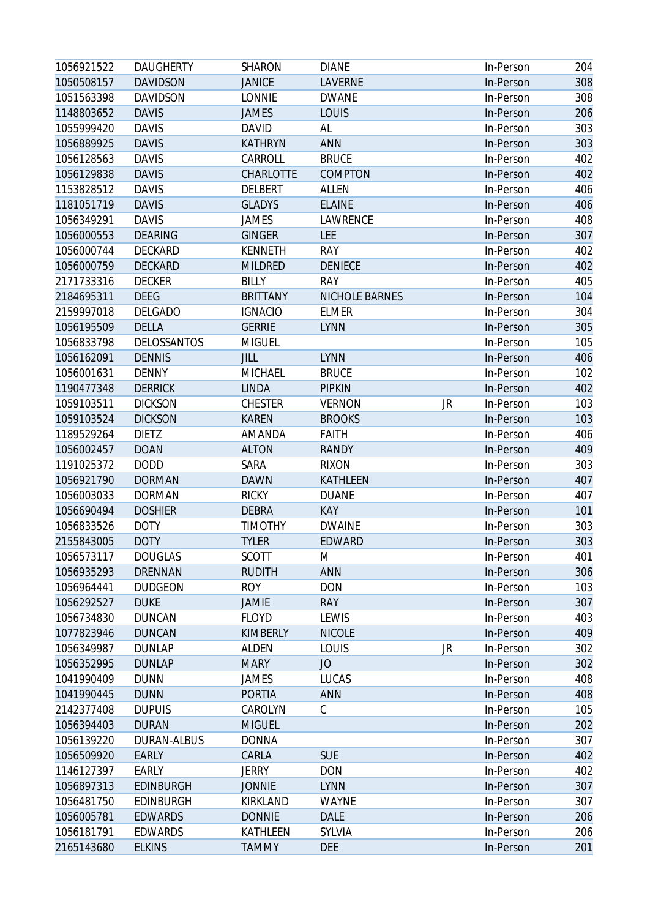| 1056921522               | <b>DAUGHERTY</b>   | <b>SHARON</b>             | <b>DIANE</b>                |    | In-Person | 204        |
|--------------------------|--------------------|---------------------------|-----------------------------|----|-----------|------------|
| 1050508157               | <b>DAVIDSON</b>    | <b>JANICE</b>             | <b>LAVERNE</b>              |    | In-Person | 308        |
| 1051563398               | <b>DAVIDSON</b>    | <b>LONNIE</b>             | <b>DWANE</b>                |    | In-Person | 308        |
| 1148803652               | <b>DAVIS</b>       | <b>JAMES</b>              | LOUIS                       |    | In-Person | 206        |
| 1055999420               | <b>DAVIS</b>       | <b>DAVID</b>              | AL                          |    | In-Person | 303        |
| 1056889925               | <b>DAVIS</b>       | <b>KATHRYN</b>            | ANN                         |    | In-Person | 303        |
| 1056128563               | <b>DAVIS</b>       | CARROLL                   | <b>BRUCE</b>                |    | In-Person | 402        |
| 1056129838               | <b>DAVIS</b>       | CHARLOTTE                 | COMPTON                     |    | In-Person | 402        |
| 1153828512               | <b>DAVIS</b>       | <b>DELBERT</b>            | <b>ALLEN</b>                |    | In-Person | 406        |
| 1181051719               | <b>DAVIS</b>       | <b>GLADYS</b>             | <b>ELAINE</b>               |    | In-Person | 406        |
| 1056349291               | <b>DAVIS</b>       | <b>JAMES</b>              | LAWRENCE                    |    | In-Person | 408        |
| 1056000553               | <b>DEARING</b>     | <b>GINGER</b>             | <b>LEE</b>                  |    | In-Person | 307        |
| 1056000744               | DECKARD            | <b>KENNETH</b>            | <b>RAY</b>                  |    | In-Person | 402        |
| 1056000759               | <b>DECKARD</b>     | <b>MILDRED</b>            | <b>DENIECE</b>              |    | In-Person | 402        |
| 2171733316               | <b>DECKER</b>      | <b>BILLY</b>              | <b>RAY</b>                  |    | In-Person | 405        |
| 2184695311               | <b>DEEG</b>        | <b>BRITTANY</b>           | NICHOLE BARNES              |    | In-Person | 104        |
| 2159997018               | <b>DELGADO</b>     | <b>IGNACIO</b>            | <b>ELMER</b>                |    | In-Person | 304        |
| 1056195509               | <b>DELLA</b>       | <b>GERRIE</b>             | <b>LYNN</b>                 |    | In-Person | 305        |
| 1056833798               | <b>DELOSSANTOS</b> | <b>MIGUEL</b>             |                             |    | In-Person | 105        |
| 1056162091               | <b>DENNIS</b>      | JILL                      | <b>LYNN</b>                 |    | In-Person | 406        |
| 1056001631               | <b>DENNY</b>       | <b>MICHAEL</b>            | <b>BRUCE</b>                |    | In-Person | 102        |
| 1190477348               | <b>DERRICK</b>     | <b>LINDA</b>              | <b>PIPKIN</b>               |    | In-Person | 402        |
| 1059103511               | <b>DICKSON</b>     | <b>CHESTER</b>            | <b>VERNON</b>               | JR | In-Person | 103        |
| 1059103524               | <b>DICKSON</b>     | <b>KAREN</b>              | <b>BROOKS</b>               |    | In-Person | 103        |
| 1189529264               | <b>DIETZ</b>       | AMANDA                    | <b>FAITH</b>                |    | In-Person | 406        |
| 1056002457               | <b>DOAN</b>        | <b>ALTON</b>              | <b>RANDY</b>                |    | In-Person | 409        |
| 1191025372               | <b>DODD</b>        | SARA                      | <b>RIXON</b>                |    | In-Person | 303        |
| 1056921790               | <b>DORMAN</b>      | <b>DAWN</b>               | <b>KATHLEEN</b>             |    | In-Person | 407        |
| 1056003033               | <b>DORMAN</b>      | <b>RICKY</b>              | <b>DUANE</b>                |    | In-Person | 407        |
| 1056690494               | <b>DOSHIER</b>     | <b>DEBRA</b>              | <b>KAY</b>                  |    | In-Person | 101        |
| 1056833526               | <b>DOTY</b>        | <b>TIMOTHY</b>            | <b>DWAINE</b>               |    | In-Person | 303        |
| 2155843005               | <b>DOTY</b>        | <b>TYLER</b>              | <b>EDWARD</b>               |    | In-Person | 303        |
| 1056573117               | <b>DOUGLAS</b>     | <b>SCOTT</b>              | M                           |    | In-Person | 401        |
| 1056935293               | <b>DRENNAN</b>     | <b>RUDITH</b>             | ANN                         |    | In-Person | 306        |
| 1056964441               | <b>DUDGEON</b>     | <b>ROY</b>                | <b>DON</b>                  |    | In-Person | 103        |
| 1056292527               | <b>DUKE</b>        | <b>JAMIE</b>              | <b>RAY</b>                  |    | In-Person | 307        |
| 1056734830               | <b>DUNCAN</b>      | <b>FLOYD</b>              | LEWIS                       |    | In-Person | 403        |
| 1077823946               | <b>DUNCAN</b>      | <b>KIMBERLY</b>           | <b>NICOLE</b>               |    | In-Person | 409        |
| 1056349987               | <b>DUNLAP</b>      | <b>ALDEN</b>              | LOUIS                       | JR | In-Person | 302        |
| 1056352995               | <b>DUNLAP</b>      | <b>MARY</b>               | JO                          |    | In-Person | 302        |
| 1041990409               | <b>DUNN</b>        | JAMES                     | <b>LUCAS</b>                |    | In-Person | 408        |
| 1041990445               | <b>DUNN</b>        | <b>PORTIA</b>             | <b>ANN</b>                  |    | In-Person | 408        |
| 2142377408               | <b>DUPUIS</b>      | CAROLYN                   | С                           |    | In-Person | 105        |
| 1056394403               | <b>DURAN</b>       | <b>MIGUEL</b>             |                             |    | In-Person | 202        |
| 1056139220               | DURAN-ALBUS        | <b>DONNA</b>              |                             |    | In-Person | 307        |
| 1056509920               | <b>EARLY</b>       | CARLA                     | <b>SUE</b>                  |    | In-Person | 402        |
| 1146127397               | EARLY              | <b>JERRY</b>              | <b>DON</b>                  |    | In-Person | 402        |
| 1056897313               | <b>EDINBURGH</b>   | <b>JONNIE</b>             | <b>LYNN</b>                 |    |           | 307        |
|                          | <b>EDINBURGH</b>   |                           |                             |    | In-Person |            |
| 1056481750<br>1056005781 | <b>EDWARDS</b>     | KIRKLAND<br><b>DONNIE</b> | <b>WAYNE</b><br><b>DALE</b> |    | In-Person | 307<br>206 |
| 1056181791               | <b>EDWARDS</b>     | KATHLEEN                  | SYLVIA                      |    | In-Person |            |
|                          |                    |                           |                             |    | In-Person | 206<br>201 |
| 2165143680               | <b>ELKINS</b>      | <b>TAMMY</b>              | <b>DEE</b>                  |    | In-Person |            |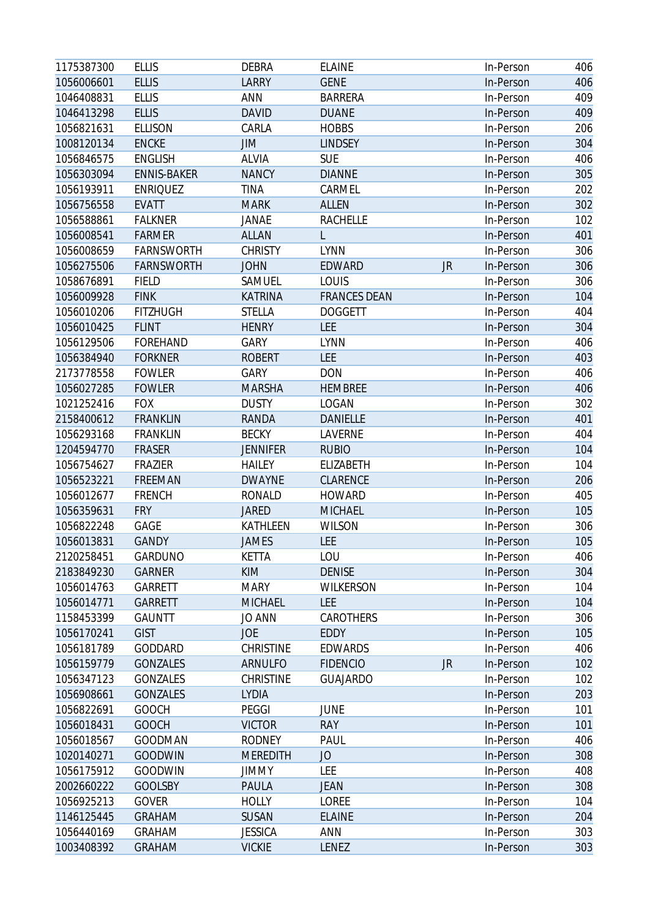| 1175387300 | <b>ELLIS</b>       | <b>DEBRA</b>     | <b>ELAINE</b>       |           | In-Person | 406 |
|------------|--------------------|------------------|---------------------|-----------|-----------|-----|
| 1056006601 | <b>ELLIS</b>       | <b>LARRY</b>     | <b>GENE</b>         |           | In-Person | 406 |
| 1046408831 | <b>ELLIS</b>       | ANN              | <b>BARRERA</b>      |           | In-Person | 409 |
| 1046413298 | <b>ELLIS</b>       | <b>DAVID</b>     | <b>DUANE</b>        |           | In-Person | 409 |
| 1056821631 | <b>ELLISON</b>     | CARLA            | <b>HOBBS</b>        |           | In-Person | 206 |
| 1008120134 | <b>ENCKE</b>       | JIM              | <b>LINDSEY</b>      |           | In-Person | 304 |
| 1056846575 | <b>ENGLISH</b>     | <b>ALVIA</b>     | <b>SUE</b>          |           | In-Person | 406 |
| 1056303094 | <b>ENNIS-BAKER</b> | <b>NANCY</b>     | <b>DIANNE</b>       |           | In-Person | 305 |
| 1056193911 | <b>ENRIQUEZ</b>    | <b>TINA</b>      | CARMEL              |           | In-Person | 202 |
| 1056756558 | <b>EVATT</b>       | <b>MARK</b>      | <b>ALLEN</b>        |           | In-Person | 302 |
| 1056588861 | <b>FALKNER</b>     | JANAE            | <b>RACHELLE</b>     |           | In-Person | 102 |
| 1056008541 | <b>FARMER</b>      | <b>ALLAN</b>     | L                   |           | In-Person | 401 |
| 1056008659 | <b>FARNSWORTH</b>  | <b>CHRISTY</b>   | <b>LYNN</b>         |           | In-Person | 306 |
| 1056275506 | <b>FARNSWORTH</b>  | <b>JOHN</b>      | EDWARD              | <b>JR</b> | In-Person | 306 |
| 1058676891 | <b>FIELD</b>       | SAMUEL           | LOUIS               |           | In-Person | 306 |
| 1056009928 | <b>FINK</b>        | <b>KATRINA</b>   | <b>FRANCES DEAN</b> |           | In-Person | 104 |
| 1056010206 | <b>FITZHUGH</b>    | <b>STELLA</b>    | <b>DOGGETT</b>      |           | In-Person | 404 |
| 1056010425 | <b>FLINT</b>       | <b>HENRY</b>     | <b>LEE</b>          |           | In-Person | 304 |
| 1056129506 | <b>FOREHAND</b>    | GARY             | <b>LYNN</b>         |           | In-Person | 406 |
| 1056384940 | <b>FORKNER</b>     | <b>ROBERT</b>    | <b>LEE</b>          |           | In-Person | 403 |
| 2173778558 | <b>FOWLER</b>      | GARY             | <b>DON</b>          |           | In-Person | 406 |
| 1056027285 | <b>FOWLER</b>      | <b>MARSHA</b>    | <b>HEMBREE</b>      |           | In-Person | 406 |
| 1021252416 | <b>FOX</b>         | <b>DUSTY</b>     | <b>LOGAN</b>        |           | In-Person | 302 |
| 2158400612 | <b>FRANKLIN</b>    | <b>RANDA</b>     | <b>DANIELLE</b>     |           | In-Person | 401 |
| 1056293168 | <b>FRANKLIN</b>    | <b>BECKY</b>     | LAVERNE             |           | In-Person | 404 |
| 1204594770 | <b>FRASER</b>      | <b>JENNIFER</b>  | <b>RUBIO</b>        |           | In-Person | 104 |
| 1056754627 | <b>FRAZIER</b>     | <b>HAILEY</b>    | ELIZABETH           |           | In-Person | 104 |
| 1056523221 | FREEMAN            | <b>DWAYNE</b>    | CLARENCE            |           | In-Person | 206 |
| 1056012677 | <b>FRENCH</b>      | <b>RONALD</b>    | <b>HOWARD</b>       |           | In-Person | 405 |
| 1056359631 | <b>FRY</b>         | <b>JARED</b>     | <b>MICHAEL</b>      |           | In-Person | 105 |
| 1056822248 | GAGE               | KATHLEEN         | <b>WILSON</b>       |           | In-Person | 306 |
| 1056013831 | <b>GANDY</b>       | <b>JAMES</b>     | <b>LEE</b>          |           | In-Person | 105 |
| 2120258451 | GARDUNO            | <b>KETTA</b>     | LOU                 |           | In-Person | 406 |
| 2183849230 | <b>GARNER</b>      | <b>KIM</b>       | <b>DENISE</b>       |           | In-Person | 304 |
| 1056014763 | GARRETT            | <b>MARY</b>      | <b>WILKERSON</b>    |           | In-Person | 104 |
| 1056014771 | <b>GARRETT</b>     | <b>MICHAEL</b>   | <b>LEE</b>          |           | In-Person | 104 |
| 1158453399 | <b>GAUNTT</b>      | JO ANN           | CAROTHERS           |           | In-Person | 306 |
| 1056170241 | <b>GIST</b>        | <b>JOE</b>       | EDDY                |           | In-Person | 105 |
| 1056181789 | GODDARD            | <b>CHRISTINE</b> | <b>EDWARDS</b>      |           | In-Person | 406 |
| 1056159779 | <b>GONZALES</b>    | ARNULFO          | <b>FIDENCIO</b>     | JR        | In-Person | 102 |
| 1056347123 | GONZALES           | <b>CHRISTINE</b> | <b>GUAJARDO</b>     |           | In-Person | 102 |
| 1056908661 | <b>GONZALES</b>    | <b>LYDIA</b>     |                     |           | In-Person | 203 |
| 1056822691 | <b>GOOCH</b>       | <b>PEGGI</b>     | <b>JUNE</b>         |           | In-Person | 101 |
| 1056018431 | <b>GOOCH</b>       | <b>VICTOR</b>    | <b>RAY</b>          |           | In-Person | 101 |
| 1056018567 | <b>GOODMAN</b>     | <b>RODNEY</b>    | PAUL                |           | In-Person | 406 |
| 1020140271 | <b>GOODWIN</b>     | <b>MEREDITH</b>  | JO                  |           | In-Person | 308 |
| 1056175912 | <b>GOODWIN</b>     | <b>JIMMY</b>     | LEE                 |           | In-Person | 408 |
| 2002660222 | <b>GOOLSBY</b>     | PAULA            | <b>JEAN</b>         |           | In-Person | 308 |
| 1056925213 | <b>GOVER</b>       | <b>HOLLY</b>     | LOREE               |           | In-Person | 104 |
| 1146125445 | <b>GRAHAM</b>      | <b>SUSAN</b>     | <b>ELAINE</b>       |           | In-Person | 204 |
| 1056440169 | <b>GRAHAM</b>      | <b>JESSICA</b>   | <b>ANN</b>          |           | In-Person | 303 |
| 1003408392 | <b>GRAHAM</b>      | <b>VICKIE</b>    | LENEZ               |           | In-Person | 303 |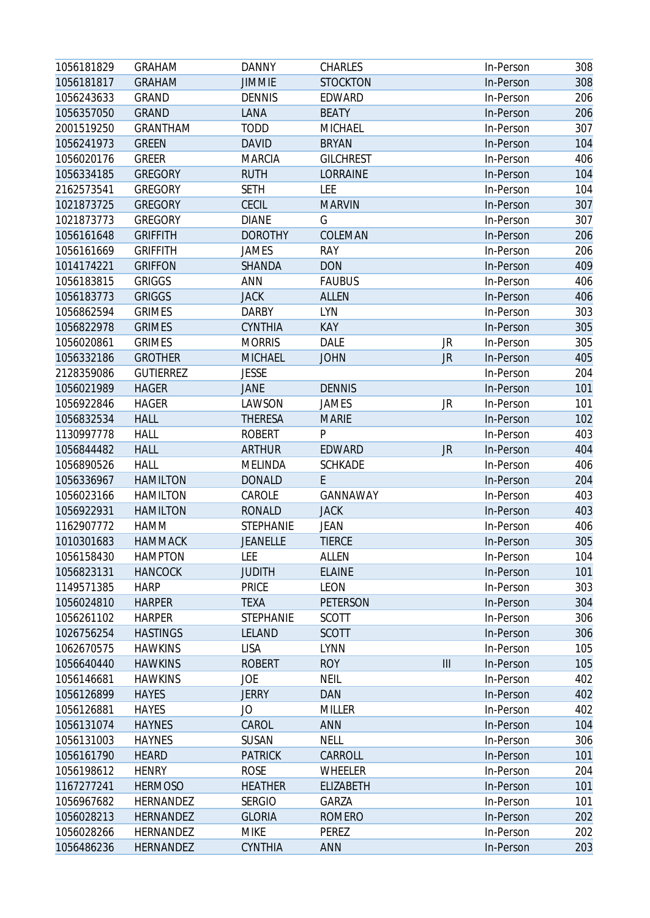| 1056181829 | <b>GRAHAM</b>    | <b>DANNY</b>     | <b>CHARLES</b>   |                    | In-Person | 308 |
|------------|------------------|------------------|------------------|--------------------|-----------|-----|
| 1056181817 | <b>GRAHAM</b>    | <b>JIMMIE</b>    | <b>STOCKTON</b>  |                    | In-Person | 308 |
| 1056243633 | <b>GRAND</b>     | <b>DENNIS</b>    | EDWARD           |                    | In-Person | 206 |
| 1056357050 | <b>GRAND</b>     | LANA             | <b>BEATY</b>     |                    | In-Person | 206 |
| 2001519250 | <b>GRANTHAM</b>  | <b>TODD</b>      | MICHAEL          |                    | In-Person | 307 |
| 1056241973 | <b>GREEN</b>     | <b>DAVID</b>     | <b>BRYAN</b>     |                    | In-Person | 104 |
| 1056020176 | <b>GREER</b>     | <b>MARCIA</b>    | <b>GILCHREST</b> |                    | In-Person | 406 |
| 1056334185 | <b>GREGORY</b>   | <b>RUTH</b>      | LORRAINE         |                    | In-Person | 104 |
| 2162573541 | <b>GREGORY</b>   | <b>SETH</b>      | LEE              |                    | In-Person | 104 |
| 1021873725 | <b>GREGORY</b>   | <b>CECIL</b>     | <b>MARVIN</b>    |                    | In-Person | 307 |
| 1021873773 | <b>GREGORY</b>   | <b>DIANE</b>     | G                |                    | In-Person | 307 |
| 1056161648 | <b>GRIFFITH</b>  | <b>DOROTHY</b>   | COLEMAN          |                    | In-Person | 206 |
| 1056161669 | <b>GRIFFITH</b>  | <b>JAMES</b>     | <b>RAY</b>       |                    | In-Person | 206 |
| 1014174221 | <b>GRIFFON</b>   | SHANDA           | <b>DON</b>       |                    | In-Person | 409 |
| 1056183815 | <b>GRIGGS</b>    | ANN              | <b>FAUBUS</b>    |                    | In-Person | 406 |
| 1056183773 | <b>GRIGGS</b>    | <b>JACK</b>      | <b>ALLEN</b>     |                    | In-Person | 406 |
| 1056862594 | <b>GRIMES</b>    | <b>DARBY</b>     | <b>LYN</b>       |                    | In-Person | 303 |
| 1056822978 | <b>GRIMES</b>    | <b>CYNTHIA</b>   | <b>KAY</b>       |                    | In-Person | 305 |
| 1056020861 | <b>GRIMES</b>    | <b>MORRIS</b>    | <b>DALE</b>      | JR                 | In-Person | 305 |
| 1056332186 | <b>GROTHER</b>   | <b>MICHAEL</b>   | <b>JOHN</b>      | <b>JR</b>          | In-Person | 405 |
| 2128359086 | <b>GUTIERREZ</b> | <b>JESSE</b>     |                  |                    | In-Person | 204 |
| 1056021989 | <b>HAGER</b>     | <b>JANE</b>      | <b>DENNIS</b>    |                    | In-Person | 101 |
| 1056922846 | <b>HAGER</b>     | LAWSON           | <b>JAMES</b>     | JR                 | In-Person | 101 |
| 1056832534 | <b>HALL</b>      | <b>THERESA</b>   | <b>MARIE</b>     |                    | In-Person | 102 |
| 1130997778 | <b>HALL</b>      | <b>ROBERT</b>    | P                |                    | In-Person | 403 |
| 1056844482 | <b>HALL</b>      | <b>ARTHUR</b>    | EDWARD           | JR                 | In-Person | 404 |
| 1056890526 | <b>HALL</b>      | <b>MELINDA</b>   | <b>SCHKADE</b>   |                    | In-Person | 406 |
| 1056336967 | <b>HAMILTON</b>  | <b>DONALD</b>    | E.               |                    | In-Person | 204 |
| 1056023166 | <b>HAMILTON</b>  | CAROLE           | GANNAWAY         |                    | In-Person | 403 |
| 1056922931 | <b>HAMILTON</b>  | <b>RONALD</b>    | <b>JACK</b>      |                    | In-Person | 403 |
| 1162907772 | HAMM             | <b>STEPHANIE</b> | JEAN             |                    | In-Person | 406 |
| 1010301683 | <b>HAMMACK</b>   | <b>JEANELLE</b>  | <b>TIERCE</b>    |                    | In-Person | 305 |
| 1056158430 | <b>HAMPTON</b>   | LEE              | <b>ALLEN</b>     |                    | In-Person | 104 |
| 1056823131 | <b>HANCOCK</b>   | <b>JUDITH</b>    | <b>ELAINE</b>    |                    | In-Person | 101 |
| 1149571385 | <b>HARP</b>      | <b>PRICE</b>     | LEON             |                    | In-Person | 303 |
| 1056024810 | <b>HARPER</b>    | <b>TEXA</b>      | PETERSON         |                    | In-Person | 304 |
| 1056261102 | <b>HARPER</b>    | <b>STEPHANIE</b> | <b>SCOTT</b>     |                    | In-Person | 306 |
| 1026756254 | <b>HASTINGS</b>  | LELAND           | <b>SCOTT</b>     |                    | In-Person | 306 |
| 1062670575 | <b>HAWKINS</b>   | LISA             | <b>LYNN</b>      |                    | In-Person | 105 |
| 1056640440 | <b>HAWKINS</b>   | <b>ROBERT</b>    | <b>ROY</b>       | $\mathop{\rm III}$ | In-Person | 105 |
| 1056146681 | <b>HAWKINS</b>   | JOE              | <b>NEIL</b>      |                    | In-Person | 402 |
| 1056126899 | <b>HAYES</b>     | <b>JERRY</b>     | DAN              |                    | In-Person | 402 |
| 1056126881 | <b>HAYES</b>     | JO               | <b>MILLER</b>    |                    | In-Person | 402 |
| 1056131074 | <b>HAYNES</b>    | CAROL            | <b>ANN</b>       |                    | In-Person | 104 |
| 1056131003 | <b>HAYNES</b>    | SUSAN            | <b>NELL</b>      |                    | In-Person | 306 |
| 1056161790 | <b>HEARD</b>     | <b>PATRICK</b>   | CARROLL          |                    | In-Person | 101 |
| 1056198612 | <b>HENRY</b>     | <b>ROSE</b>      | WHEELER          |                    | In-Person | 204 |
| 1167277241 | <b>HERMOSO</b>   | <b>HEATHER</b>   | <b>ELIZABETH</b> |                    | In-Person | 101 |
| 1056967682 | HERNANDEZ        | <b>SERGIO</b>    | GARZA            |                    | In-Person | 101 |
| 1056028213 | <b>HERNANDEZ</b> | <b>GLORIA</b>    | <b>ROMERO</b>    |                    | In-Person | 202 |
| 1056028266 | HERNANDEZ        | <b>MIKE</b>      | PEREZ            |                    | In-Person | 202 |
| 1056486236 | HERNANDEZ        | CYNTHIA          | ANN              |                    | In-Person | 203 |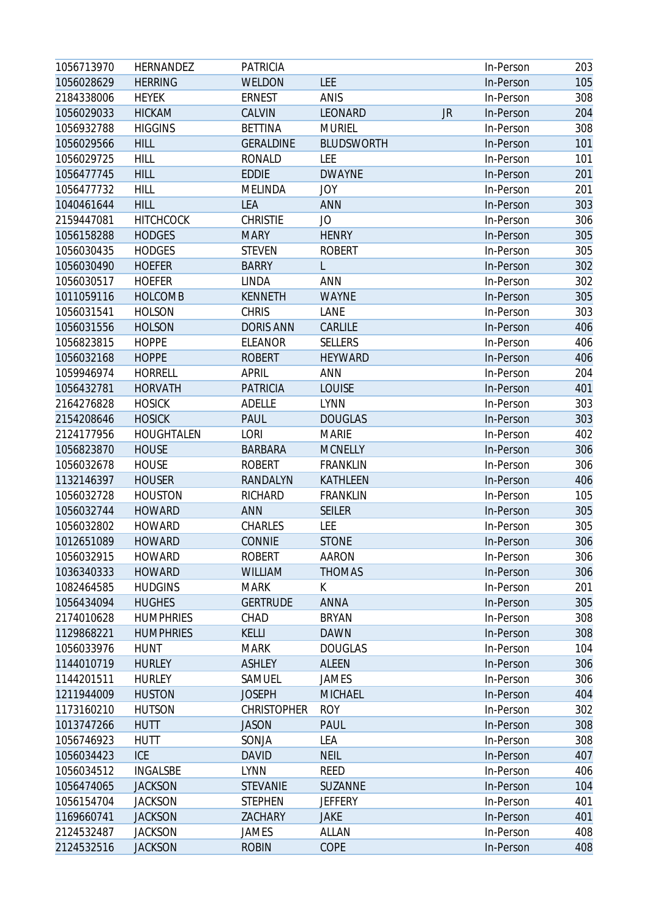| 1056713970 | HERNANDEZ         | <b>PATRICIA</b>    |                   |           | In-Person | 203 |
|------------|-------------------|--------------------|-------------------|-----------|-----------|-----|
| 1056028629 | <b>HERRING</b>    | WELDON             | LEE               |           | In-Person | 105 |
| 2184338006 | <b>HEYEK</b>      | <b>ERNEST</b>      | <b>ANIS</b>       |           | In-Person | 308 |
| 1056029033 | <b>HICKAM</b>     | CALVIN             | LEONARD           | <b>JR</b> | In-Person | 204 |
| 1056932788 | <b>HIGGINS</b>    | <b>BETTINA</b>     | <b>MURIEL</b>     |           | In-Person | 308 |
| 1056029566 | <b>HILL</b>       | <b>GERALDINE</b>   | <b>BLUDSWORTH</b> |           | In-Person | 101 |
| 1056029725 | <b>HILL</b>       | <b>RONALD</b>      | LEE               |           | In-Person | 101 |
| 1056477745 | <b>HILL</b>       | <b>EDDIE</b>       | <b>DWAYNE</b>     |           | In-Person | 201 |
| 1056477732 | <b>HILL</b>       | <b>MELINDA</b>     | <b>JOY</b>        |           | In-Person | 201 |
| 1040461644 | <b>HILL</b>       | LEA                | <b>ANN</b>        |           | In-Person | 303 |
| 2159447081 | <b>HITCHCOCK</b>  | <b>CHRISTIE</b>    | JO                |           | In-Person | 306 |
| 1056158288 | <b>HODGES</b>     | <b>MARY</b>        | <b>HENRY</b>      |           | In-Person | 305 |
| 1056030435 | <b>HODGES</b>     | <b>STEVEN</b>      | <b>ROBERT</b>     |           | In-Person | 305 |
| 1056030490 | <b>HOEFER</b>     | <b>BARRY</b>       |                   |           | In-Person | 302 |
| 1056030517 | <b>HOEFER</b>     | <b>LINDA</b>       | <b>ANN</b>        |           | In-Person | 302 |
| 1011059116 | <b>HOLCOMB</b>    | <b>KENNETH</b>     | <b>WAYNE</b>      |           | In-Person | 305 |
| 1056031541 | <b>HOLSON</b>     | <b>CHRIS</b>       | LANE              |           | In-Person | 303 |
| 1056031556 | <b>HOLSON</b>     | <b>DORIS ANN</b>   | CARLILE           |           | In-Person | 406 |
| 1056823815 | <b>HOPPE</b>      | <b>ELEANOR</b>     | <b>SELLERS</b>    |           | In-Person | 406 |
| 1056032168 | <b>HOPPE</b>      | <b>ROBERT</b>      | <b>HEYWARD</b>    |           | In-Person | 406 |
| 1059946974 | <b>HORRELL</b>    | <b>APRIL</b>       | ANN               |           | In-Person | 204 |
| 1056432781 | <b>HORVATH</b>    | <b>PATRICIA</b>    | <b>LOUISE</b>     |           | In-Person | 401 |
| 2164276828 | <b>HOSICK</b>     | <b>ADELLE</b>      | <b>LYNN</b>       |           | In-Person | 303 |
| 2154208646 | <b>HOSICK</b>     | <b>PAUL</b>        | <b>DOUGLAS</b>    |           | In-Person | 303 |
| 2124177956 | <b>HOUGHTALEN</b> | <b>LORI</b>        | <b>MARIE</b>      |           | In-Person | 402 |
| 1056823870 | <b>HOUSE</b>      | <b>BARBARA</b>     | <b>MCNELLY</b>    |           | In-Person | 306 |
| 1056032678 | <b>HOUSE</b>      | <b>ROBERT</b>      | <b>FRANKLIN</b>   |           | In-Person | 306 |
| 1132146397 | <b>HOUSER</b>     | RANDALYN           | KATHLEEN          |           | In-Person | 406 |
| 1056032728 | <b>HOUSTON</b>    | RICHARD            | <b>FRANKLIN</b>   |           | In-Person | 105 |
| 1056032744 | <b>HOWARD</b>     | ANN                | <b>SEILER</b>     |           | In-Person | 305 |
| 1056032802 | <b>HOWARD</b>     | CHARLES            | LEE               |           | In-Person | 305 |
| 1012651089 | <b>HOWARD</b>     | <b>CONNIE</b>      | <b>STONE</b>      |           | In-Person | 306 |
| 1056032915 | <b>HOWARD</b>     | <b>ROBERT</b>      | <b>AARON</b>      |           | In-Person | 306 |
| 1036340333 | <b>HOWARD</b>     | <b>WILLIAM</b>     | <b>THOMAS</b>     |           | In-Person | 306 |
| 1082464585 | <b>HUDGINS</b>    | <b>MARK</b>        | K                 |           | In-Person | 201 |
| 1056434094 | <b>HUGHES</b>     | <b>GERTRUDE</b>    | <b>ANNA</b>       |           | In-Person | 305 |
| 2174010628 | <b>HUMPHRIES</b>  | CHAD               | <b>BRYAN</b>      |           | In-Person | 308 |
| 1129868221 | <b>HUMPHRIES</b>  | <b>KELLI</b>       | <b>DAWN</b>       |           | In-Person | 308 |
| 1056033976 | <b>HUNT</b>       | <b>MARK</b>        | <b>DOUGLAS</b>    |           | In-Person | 104 |
| 1144010719 | <b>HURLEY</b>     | <b>ASHLEY</b>      | <b>ALEEN</b>      |           | In-Person | 306 |
| 1144201511 | <b>HURLEY</b>     | SAMUEL             | JAMES             |           | In-Person | 306 |
| 1211944009 | <b>HUSTON</b>     | <b>JOSEPH</b>      | <b>MICHAEL</b>    |           | In-Person | 404 |
| 1173160210 | <b>HUTSON</b>     | <b>CHRISTOPHER</b> | <b>ROY</b>        |           | In-Person | 302 |
| 1013747266 | <b>HUTT</b>       | <b>JASON</b>       | <b>PAUL</b>       |           | In-Person | 308 |
| 1056746923 | <b>HUTT</b>       | SONJA              | LEA               |           | In-Person | 308 |
| 1056034423 | <b>ICE</b>        | <b>DAVID</b>       | <b>NEIL</b>       |           | In-Person | 407 |
| 1056034512 | <b>INGALSBE</b>   | <b>LYNN</b>        | <b>REED</b>       |           | In-Person | 406 |
| 1056474065 | <b>JACKSON</b>    | <b>STEVANIE</b>    | SUZANNE           |           | In-Person | 104 |
| 1056154704 | <b>JACKSON</b>    | <b>STEPHEN</b>     | <b>JEFFERY</b>    |           | In-Person | 401 |
| 1169660741 | <b>JACKSON</b>    | ZACHARY            | <b>JAKE</b>       |           | In-Person | 401 |
| 2124532487 | <b>JACKSON</b>    | JAMES              | <b>ALLAN</b>      |           | In-Person | 408 |
| 2124532516 | <b>JACKSON</b>    | <b>ROBIN</b>       | COPE              |           | In-Person | 408 |
|            |                   |                    |                   |           |           |     |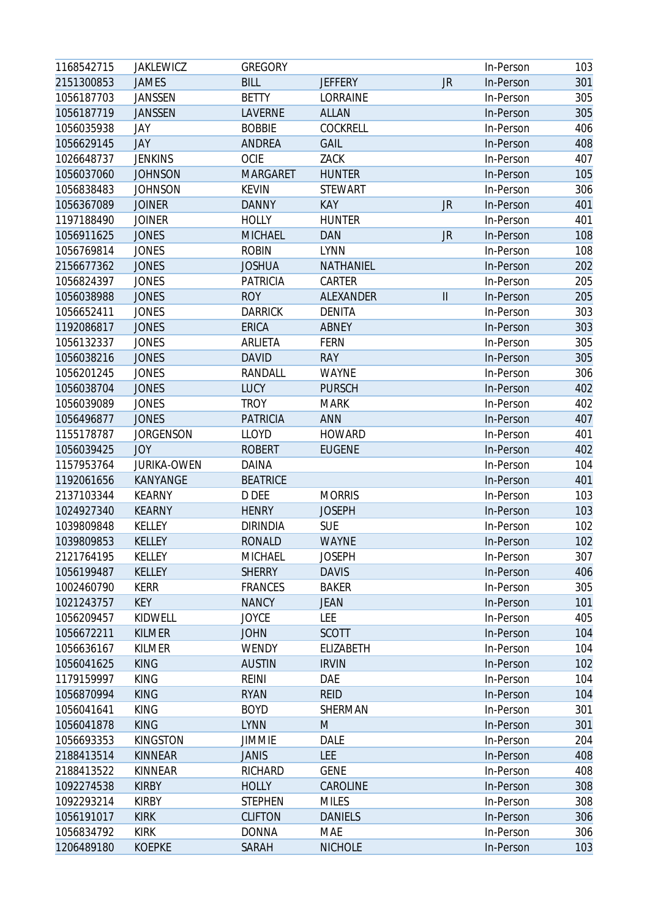| 1168542715 | <b>JAKLEWICZ</b>   | <b>GREGORY</b>  |                |               | In-Person | 103 |
|------------|--------------------|-----------------|----------------|---------------|-----------|-----|
| 2151300853 | <b>JAMES</b>       | <b>BILL</b>     | <b>JEFFERY</b> | JR            | In-Person | 301 |
| 1056187703 | <b>JANSSEN</b>     | <b>BETTY</b>    | LORRAINE       |               | In-Person | 305 |
| 1056187719 | <b>JANSSEN</b>     | LAVERNE         | <b>ALLAN</b>   |               | In-Person | 305 |
| 1056035938 | JAY                | <b>BOBBIE</b>   | COCKRELL       |               | In-Person | 406 |
| 1056629145 | JAY                | <b>ANDREA</b>   | <b>GAIL</b>    |               | In-Person | 408 |
| 1026648737 | <b>JENKINS</b>     | <b>OCIE</b>     | ZACK           |               | In-Person | 407 |
| 1056037060 | <b>JOHNSON</b>     | <b>MARGARET</b> | <b>HUNTER</b>  |               | In-Person | 105 |
| 1056838483 | <b>JOHNSON</b>     | <b>KEVIN</b>    | <b>STEWART</b> |               | In-Person | 306 |
| 1056367089 | <b>JOINER</b>      | <b>DANNY</b>    | KAY            | <b>JR</b>     | In-Person | 401 |
| 1197188490 | <b>JOINER</b>      | <b>HOLLY</b>    | <b>HUNTER</b>  |               | In-Person | 401 |
| 1056911625 | <b>JONES</b>       | <b>MICHAEL</b>  | <b>DAN</b>     | JR            | In-Person | 108 |
| 1056769814 | <b>JONES</b>       | <b>ROBIN</b>    | <b>LYNN</b>    |               | In-Person | 108 |
| 2156677362 | <b>JONES</b>       | <b>JOSHUA</b>   | NATHANIEL      |               | In-Person | 202 |
| 1056824397 | <b>JONES</b>       | <b>PATRICIA</b> | CARTER         |               | In-Person | 205 |
| 1056038988 | <b>JONES</b>       | <b>ROY</b>      | ALEXANDER      | $\mathbf{II}$ | In-Person | 205 |
| 1056652411 | <b>JONES</b>       | <b>DARRICK</b>  | <b>DENITA</b>  |               | In-Person | 303 |
| 1192086817 | <b>JONES</b>       | <b>ERICA</b>    | <b>ABNEY</b>   |               | In-Person | 303 |
| 1056132337 | <b>JONES</b>       | ARLIETA         | <b>FERN</b>    |               | In-Person | 305 |
| 1056038216 | <b>JONES</b>       | <b>DAVID</b>    | <b>RAY</b>     |               | In-Person | 305 |
| 1056201245 | <b>JONES</b>       | RANDALL         | <b>WAYNE</b>   |               | In-Person | 306 |
| 1056038704 | <b>JONES</b>       | <b>LUCY</b>     | <b>PURSCH</b>  |               | In-Person | 402 |
| 1056039089 | <b>JONES</b>       | <b>TROY</b>     | <b>MARK</b>    |               | In-Person | 402 |
| 1056496877 | <b>JONES</b>       | <b>PATRICIA</b> | <b>ANN</b>     |               | In-Person | 407 |
| 1155178787 | <b>JORGENSON</b>   | <b>LLOYD</b>    | <b>HOWARD</b>  |               | In-Person | 401 |
| 1056039425 | <b>JOY</b>         | <b>ROBERT</b>   | <b>EUGENE</b>  |               | In-Person | 402 |
| 1157953764 | <b>JURIKA-OWEN</b> | <b>DAINA</b>    |                |               | In-Person | 104 |
| 1192061656 | KANYANGE           | <b>BEATRICE</b> |                |               | In-Person | 401 |
| 2137103344 | <b>KEARNY</b>      | D DEE           | <b>MORRIS</b>  |               | In-Person | 103 |
| 1024927340 | <b>KEARNY</b>      | <b>HENRY</b>    | <b>JOSEPH</b>  |               | In-Person | 103 |
| 1039809848 | KELLEY             | <b>DIRINDIA</b> | <b>SUE</b>     |               | In-Person | 102 |
| 1039809853 | <b>KELLEY</b>      | <b>RONALD</b>   | <b>WAYNE</b>   |               | In-Person | 102 |
| 2121764195 | KELLEY             | MICHAEL         | <b>JOSEPH</b>  |               | In-Person | 307 |
| 1056199487 | KELLEY             | <b>SHERRY</b>   | <b>DAVIS</b>   |               | In-Person | 406 |
| 1002460790 | <b>KERR</b>        | <b>FRANCES</b>  | <b>BAKER</b>   |               | In-Person | 305 |
| 1021243757 | <b>KEY</b>         | <b>NANCY</b>    | <b>JEAN</b>    |               | In-Person | 101 |
| 1056209457 | KIDWELL            | <b>JOYCE</b>    | LEE            |               | In-Person | 405 |
| 1056672211 | <b>KILMER</b>      | <b>JOHN</b>     | <b>SCOTT</b>   |               | In-Person | 104 |
| 1056636167 | <b>KILMER</b>      | WENDY           | ELIZABETH      |               | In-Person | 104 |
| 1056041625 | <b>KING</b>        | <b>AUSTIN</b>   | <b>IRVIN</b>   |               | In-Person | 102 |
| 1179159997 | <b>KING</b>        | <b>REINI</b>    | DAE            |               | In-Person | 104 |
| 1056870994 | <b>KING</b>        | <b>RYAN</b>     | <b>REID</b>    |               | In-Person | 104 |
| 1056041641 | <b>KING</b>        | <b>BOYD</b>     | SHERMAN        |               | In-Person | 301 |
| 1056041878 | <b>KING</b>        | <b>LYNN</b>     | M              |               | In-Person | 301 |
| 1056693353 | <b>KINGSTON</b>    | <b>JIMMIE</b>   | DALE           |               | In-Person | 204 |
| 2188413514 | KINNEAR            | <b>JANIS</b>    | <b>LEE</b>     |               | In-Person | 408 |
| 2188413522 | <b>KINNEAR</b>     | <b>RICHARD</b>  | <b>GENE</b>    |               | In-Person | 408 |
| 1092274538 | <b>KIRBY</b>       | <b>HOLLY</b>    | CAROLINE       |               | In-Person | 308 |
| 1092293214 | <b>KIRBY</b>       | <b>STEPHEN</b>  | <b>MILES</b>   |               | In-Person | 308 |
| 1056191017 | <b>KIRK</b>        | <b>CLIFTON</b>  | <b>DANIELS</b> |               | In-Person | 306 |
| 1056834792 | <b>KIRK</b>        | <b>DONNA</b>    | MAE            |               | In-Person | 306 |
| 1206489180 | <b>KOEPKE</b>      | SARAH           | <b>NICHOLE</b> |               | In-Person | 103 |
|            |                    |                 |                |               |           |     |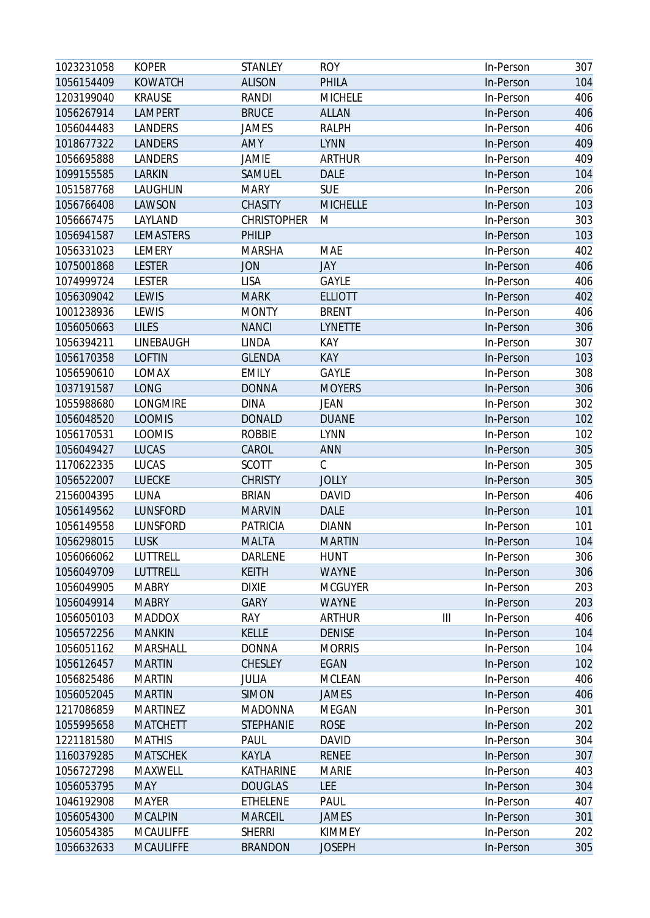| 1023231058 | <b>KOPER</b>     | <b>STANLEY</b>     | <b>ROY</b>      |   | In-Person | 307 |
|------------|------------------|--------------------|-----------------|---|-----------|-----|
| 1056154409 | <b>KOWATCH</b>   | <b>ALISON</b>      | PHILA           |   | In-Person | 104 |
| 1203199040 | <b>KRAUSE</b>    | RANDI              | <b>MICHELE</b>  |   | In-Person | 406 |
| 1056267914 | <b>LAMPERT</b>   | <b>BRUCE</b>       | <b>ALLAN</b>    |   | In-Person | 406 |
| 1056044483 | LANDERS          | JAMES              | <b>RALPH</b>    |   | In-Person | 406 |
| 1018677322 | LANDERS          | <b>AMY</b>         | <b>LYNN</b>     |   | In-Person | 409 |
| 1056695888 | LANDERS          | <b>JAMIE</b>       | <b>ARTHUR</b>   |   | In-Person | 409 |
| 1099155585 | LARKIN           | SAMUEL             | <b>DALE</b>     |   | In-Person | 104 |
| 1051587768 | LAUGHLIN         | <b>MARY</b>        | <b>SUE</b>      |   | In-Person | 206 |
| 1056766408 | LAWSON           | <b>CHASITY</b>     | <b>MICHELLE</b> |   | In-Person | 103 |
| 1056667475 | LAYLAND          | <b>CHRISTOPHER</b> | M               |   | In-Person | 303 |
| 1056941587 | <b>LEMASTERS</b> | <b>PHILIP</b>      |                 |   | In-Person | 103 |
| 1056331023 | LEMERY           | <b>MARSHA</b>      | MAE             |   | In-Person | 402 |
| 1075001868 | <b>LESTER</b>    | <b>JON</b>         | JAY             |   | In-Person | 406 |
| 1074999724 | <b>LESTER</b>    | <b>LISA</b>        | <b>GAYLE</b>    |   | In-Person | 406 |
| 1056309042 | LEWIS            | <b>MARK</b>        | <b>ELLIOTT</b>  |   | In-Person | 402 |
| 1001238936 | LEWIS            | <b>MONTY</b>       | <b>BRENT</b>    |   | In-Person | 406 |
| 1056050663 | <b>LILES</b>     | <b>NANCI</b>       | <b>LYNETTE</b>  |   | In-Person | 306 |
| 1056394211 | LINEBAUGH        | LINDA              | KAY             |   | In-Person | 307 |
| 1056170358 | <b>LOFTIN</b>    | <b>GLENDA</b>      | KAY             |   | In-Person | 103 |
| 1056590610 | LOMAX            | <b>EMILY</b>       | <b>GAYLE</b>    |   | In-Person | 308 |
| 1037191587 | <b>LONG</b>      | <b>DONNA</b>       | <b>MOYERS</b>   |   | In-Person | 306 |
| 1055988680 | LONGMIRE         | <b>DINA</b>        | <b>JEAN</b>     |   | In-Person | 302 |
| 1056048520 | <b>LOOMIS</b>    | <b>DONALD</b>      | <b>DUANE</b>    |   | In-Person | 102 |
| 1056170531 | <b>LOOMIS</b>    | <b>ROBBIE</b>      | <b>LYNN</b>     |   | In-Person | 102 |
| 1056049427 | LUCAS            | CAROL              | ANN             |   | In-Person | 305 |
| 1170622335 | LUCAS            | <b>SCOTT</b>       | C               |   | In-Person | 305 |
| 1056522007 | <b>LUECKE</b>    | <b>CHRISTY</b>     | <b>JOLLY</b>    |   | In-Person | 305 |
| 2156004395 | LUNA             | <b>BRIAN</b>       | <b>DAVID</b>    |   | In-Person | 406 |
| 1056149562 | LUNSFORD         | <b>MARVIN</b>      | <b>DALE</b>     |   | In-Person | 101 |
| 1056149558 | LUNSFORD         | <b>PATRICIA</b>    | <b>DIANN</b>    |   | In-Person | 101 |
| 1056298015 | <b>LUSK</b>      | <b>MALTA</b>       | <b>MARTIN</b>   |   | In-Person | 104 |
| 1056066062 | LUTTRELL         | <b>DARLENE</b>     | <b>HUNT</b>     |   | In-Person | 306 |
| 1056049709 | LUTTRELL         | <b>KEITH</b>       | <b>WAYNE</b>    |   | In-Person | 306 |
| 1056049905 | <b>MABRY</b>     | <b>DIXIE</b>       | <b>MCGUYER</b>  |   | In-Person | 203 |
| 1056049914 | <b>MABRY</b>     | <b>GARY</b>        | <b>WAYNE</b>    |   | In-Person | 203 |
| 1056050103 | <b>MADDOX</b>    | RAY                | <b>ARTHUR</b>   | Ш | In-Person | 406 |
| 1056572256 | <b>MANKIN</b>    | <b>KELLE</b>       | <b>DENISE</b>   |   | In-Person | 104 |
| 1056051162 | <b>MARSHALL</b>  | <b>DONNA</b>       | <b>MORRIS</b>   |   | In-Person | 104 |
| 1056126457 | <b>MARTIN</b>    | <b>CHESLEY</b>     | EGAN            |   | In-Person | 102 |
| 1056825486 | <b>MARTIN</b>    | JULIA              | <b>MCLEAN</b>   |   | In-Person | 406 |
| 1056052045 | <b>MARTIN</b>    | <b>SIMON</b>       | <b>JAMES</b>    |   | In-Person | 406 |
| 1217086859 | <b>MARTINEZ</b>  | <b>MADONNA</b>     | <b>MEGAN</b>    |   | In-Person | 301 |
| 1055995658 | <b>MATCHETT</b>  | <b>STEPHANIE</b>   | <b>ROSE</b>     |   | In-Person | 202 |
| 1221181580 | <b>MATHIS</b>    | PAUL               | <b>DAVID</b>    |   | In-Person | 304 |
| 1160379285 | <b>MATSCHEK</b>  | KAYLA              | <b>RENEE</b>    |   | In-Person | 307 |
| 1056727298 | MAXWELL          | KATHARINE          | <b>MARIE</b>    |   | In-Person | 403 |
| 1056053795 | <b>MAY</b>       | <b>DOUGLAS</b>     | LEE             |   | In-Person | 304 |
| 1046192908 | <b>MAYER</b>     | <b>ETHELENE</b>    | PAUL            |   | In-Person | 407 |
| 1056054300 | <b>MCALPIN</b>   | <b>MARCEIL</b>     | <b>JAMES</b>    |   | In-Person | 301 |
| 1056054385 | <b>MCAULIFFE</b> | <b>SHERRI</b>      | <b>KIMMEY</b>   |   | In-Person | 202 |
| 1056632633 | <b>MCAULIFFE</b> | <b>BRANDON</b>     | <b>JOSEPH</b>   |   | In-Person | 305 |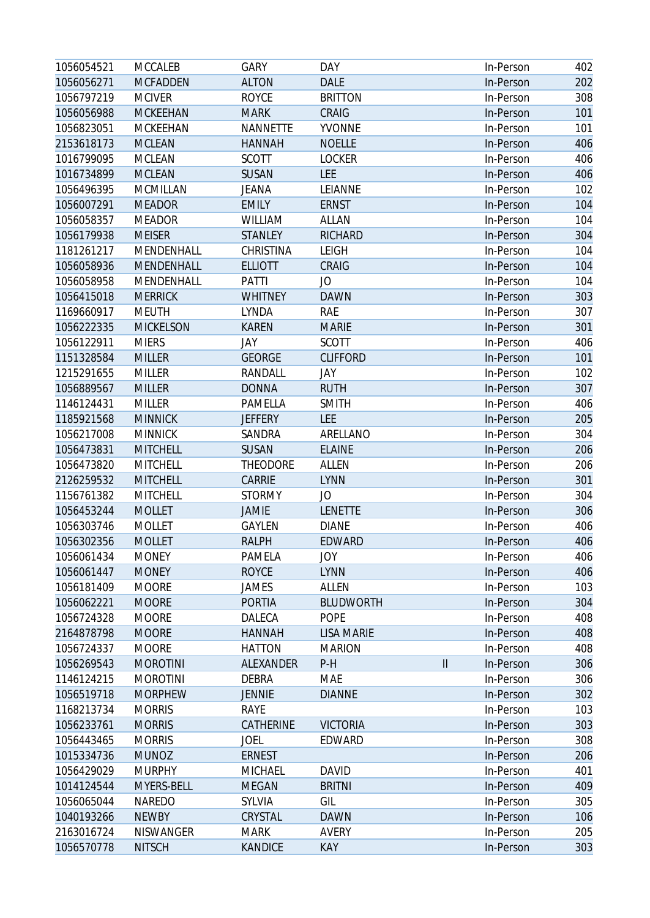| 1056054521 | <b>MCCALEB</b>   | <b>GARY</b>     | DAY               |                            | In-Person | 402 |
|------------|------------------|-----------------|-------------------|----------------------------|-----------|-----|
| 1056056271 | <b>MCFADDEN</b>  | <b>ALTON</b>    | <b>DALE</b>       |                            | In-Person | 202 |
| 1056797219 | <b>MCIVER</b>    | <b>ROYCE</b>    | <b>BRITTON</b>    |                            | In-Person | 308 |
| 1056056988 | <b>MCKEEHAN</b>  | <b>MARK</b>     | CRAIG             |                            | In-Person | 101 |
| 1056823051 | MCKEEHAN         | <b>NANNETTE</b> | <b>YVONNE</b>     |                            | In-Person | 101 |
| 2153618173 | <b>MCLEAN</b>    | <b>HANNAH</b>   | <b>NOELLE</b>     |                            | In-Person | 406 |
| 1016799095 | <b>MCLEAN</b>    | <b>SCOTT</b>    | <b>LOCKER</b>     |                            | In-Person | 406 |
| 1016734899 | <b>MCLEAN</b>    | <b>SUSAN</b>    | <b>LEE</b>        |                            | In-Person | 406 |
| 1056496395 | MCMILLAN         | JEANA           | LEIANNE           |                            | In-Person | 102 |
| 1056007291 | <b>MEADOR</b>    | <b>EMILY</b>    | <b>ERNST</b>      |                            | In-Person | 104 |
| 1056058357 | <b>MEADOR</b>    | WILLIAM         | <b>ALLAN</b>      |                            | In-Person | 104 |
| 1056179938 | <b>MEISER</b>    | <b>STANLEY</b>  | <b>RICHARD</b>    |                            | In-Person | 304 |
| 1181261217 | MENDENHALL       | CHRISTINA       | <b>LEIGH</b>      |                            | In-Person | 104 |
| 1056058936 | MENDENHALL       | <b>ELLIOTT</b>  | CRAIG             |                            | In-Person | 104 |
| 1056058958 | MENDENHALL       | PATTI           | JO                |                            | In-Person | 104 |
| 1056415018 | <b>MERRICK</b>   | <b>WHITNEY</b>  | <b>DAWN</b>       |                            | In-Person | 303 |
| 1169660917 | <b>MEUTH</b>     | LYNDA           | <b>RAE</b>        |                            | In-Person | 307 |
| 1056222335 | <b>MICKELSON</b> | <b>KAREN</b>    | <b>MARIE</b>      |                            | In-Person | 301 |
| 1056122911 | <b>MIERS</b>     | JAY             | <b>SCOTT</b>      |                            | In-Person | 406 |
| 1151328584 | <b>MILLER</b>    | <b>GEORGE</b>   | <b>CLIFFORD</b>   |                            | In-Person | 101 |
| 1215291655 | <b>MILLER</b>    | RANDALL         | <b>JAY</b>        |                            | In-Person | 102 |
| 1056889567 | <b>MILLER</b>    | <b>DONNA</b>    | <b>RUTH</b>       |                            | In-Person | 307 |
| 1146124431 | <b>MILLER</b>    | PAMELLA         | <b>SMITH</b>      |                            | In-Person | 406 |
| 1185921568 | <b>MINNICK</b>   | <b>JEFFERY</b>  | LEE               |                            | In-Person | 205 |
| 1056217008 | <b>MINNICK</b>   | SANDRA          | ARELLANO          |                            | In-Person | 304 |
| 1056473831 | <b>MITCHELL</b>  | SUSAN           | <b>ELAINE</b>     |                            | In-Person | 206 |
| 1056473820 | <b>MITCHELL</b>  | <b>THEODORE</b> | <b>ALLEN</b>      |                            | In-Person | 206 |
| 2126259532 | <b>MITCHELL</b>  | CARRIE          | <b>LYNN</b>       |                            | In-Person | 301 |
| 1156761382 | <b>MITCHELL</b>  | <b>STORMY</b>   | JO                |                            | In-Person | 304 |
| 1056453244 | <b>MOLLET</b>    | JAMIE           | <b>LENETTE</b>    |                            | In-Person | 306 |
| 1056303746 | <b>MOLLET</b>    | GAYLEN          | <b>DIANE</b>      |                            | In-Person | 406 |
| 1056302356 | <b>MOLLET</b>    | <b>RALPH</b>    | <b>EDWARD</b>     |                            | In-Person | 406 |
| 1056061434 | <b>MONEY</b>     | PAMELA          | <b>JOY</b>        |                            | In-Person | 406 |
| 1056061447 | <b>MONEY</b>     | <b>ROYCE</b>    | <b>LYNN</b>       |                            | In-Person | 406 |
| 1056181409 | <b>MOORE</b>     | JAMES           | ALLEN             |                            | In-Person | 103 |
| 1056062221 | <b>MOORE</b>     | <b>PORTIA</b>   | <b>BLUDWORTH</b>  |                            | In-Person | 304 |
| 1056724328 | <b>MOORE</b>     | DALECA          | <b>POPE</b>       |                            | In-Person | 408 |
| 2164878798 | <b>MOORE</b>     | <b>HANNAH</b>   | <b>LISA MARIE</b> |                            | In-Person | 408 |
| 1056724337 | <b>MOORE</b>     | <b>HATTON</b>   | <b>MARION</b>     |                            | In-Person | 408 |
| 1056269543 | <b>MOROTINI</b>  | ALEXANDER       | $P-H$             | $\ensuremath{\mathsf{II}}$ | In-Person | 306 |
| 1146124215 | <b>MOROTINI</b>  | <b>DEBRA</b>    | MAE               |                            | In-Person | 306 |
| 1056519718 | <b>MORPHEW</b>   | <b>JENNIE</b>   | <b>DIANNE</b>     |                            | In-Person | 302 |
| 1168213734 | <b>MORRIS</b>    | RAYE            |                   |                            | In-Person | 103 |
| 1056233761 | <b>MORRIS</b>    | CATHERINE       | <b>VICTORIA</b>   |                            | In-Person | 303 |
| 1056443465 | <b>MORRIS</b>    | JOEL            | EDWARD            |                            | In-Person | 308 |
| 1015334736 | <b>MUNOZ</b>     | <b>ERNEST</b>   |                   |                            | In-Person | 206 |
| 1056429029 | <b>MURPHY</b>    | MICHAEL         | <b>DAVID</b>      |                            | In-Person | 401 |
| 1014124544 | MYERS-BELL       | <b>MEGAN</b>    | <b>BRITNI</b>     |                            | In-Person | 409 |
| 1056065044 | NAREDO           | SYLVIA          | GIL               |                            | In-Person | 305 |
| 1040193266 | <b>NEWBY</b>     | CRYSTAL         | <b>DAWN</b>       |                            | In-Person | 106 |
| 2163016724 | NISWANGER        | <b>MARK</b>     | AVERY             |                            | In-Person | 205 |
| 1056570778 | <b>NITSCH</b>    | <b>KANDICE</b>  | KAY               |                            | In-Person | 303 |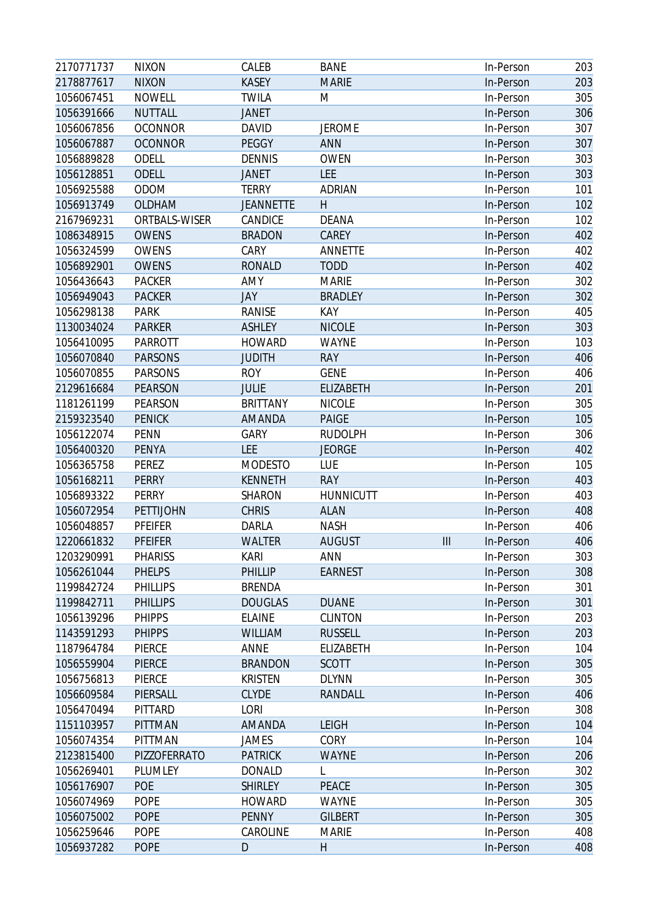| 2170771737 | <b>NIXON</b>    | CALEB            | <b>BANE</b>      |                | In-Person | 203 |
|------------|-----------------|------------------|------------------|----------------|-----------|-----|
| 2178877617 | <b>NIXON</b>    | <b>KASEY</b>     | <b>MARIE</b>     |                | In-Person | 203 |
| 1056067451 | <b>NOWELL</b>   | <b>TWILA</b>     | M                |                | In-Person | 305 |
| 1056391666 | <b>NUTTALL</b>  | <b>JANET</b>     |                  |                | In-Person | 306 |
| 1056067856 | <b>OCONNOR</b>  | <b>DAVID</b>     | <b>JEROME</b>    |                | In-Person | 307 |
| 1056067887 | <b>OCONNOR</b>  | PEGGY            | <b>ANN</b>       |                | In-Person | 307 |
| 1056889828 | <b>ODELL</b>    | <b>DENNIS</b>    | <b>OWEN</b>      |                | In-Person | 303 |
| 1056128851 | <b>ODELL</b>    | <b>JANET</b>     | <b>LEE</b>       |                | In-Person | 303 |
| 1056925588 | ODOM            | <b>TERRY</b>     | <b>ADRIAN</b>    |                | In-Person | 101 |
| 1056913749 | <b>OLDHAM</b>   | <b>JEANNETTE</b> | H                |                | In-Person | 102 |
| 2167969231 | ORTBALS-WISER   | CANDICE          | <b>DEANA</b>     |                | In-Person | 102 |
| 1086348915 | <b>OWENS</b>    | <b>BRADON</b>    | CAREY            |                | In-Person | 402 |
| 1056324599 | <b>OWENS</b>    | CARY             | <b>ANNETTE</b>   |                | In-Person | 402 |
| 1056892901 | <b>OWENS</b>    | <b>RONALD</b>    | <b>TODD</b>      |                | In-Person | 402 |
| 1056436643 | <b>PACKER</b>   | AMY              | <b>MARIE</b>     |                | In-Person | 302 |
| 1056949043 | <b>PACKER</b>   | <b>JAY</b>       | <b>BRADLEY</b>   |                | In-Person | 302 |
| 1056298138 | <b>PARK</b>     | RANISE           | KAY              |                | In-Person | 405 |
| 1130034024 | <b>PARKER</b>   | <b>ASHLEY</b>    | <b>NICOLE</b>    |                | In-Person | 303 |
| 1056410095 | <b>PARROTT</b>  | <b>HOWARD</b>    | <b>WAYNE</b>     |                | In-Person | 103 |
| 1056070840 | <b>PARSONS</b>  | <b>JUDITH</b>    | <b>RAY</b>       |                | In-Person | 406 |
| 1056070855 | <b>PARSONS</b>  | <b>ROY</b>       | <b>GENE</b>      |                | In-Person | 406 |
| 2129616684 | <b>PEARSON</b>  | <b>JULIE</b>     | <b>ELIZABETH</b> |                | In-Person | 201 |
| 1181261199 | PEARSON         | <b>BRITTANY</b>  | <b>NICOLE</b>    |                | In-Person | 305 |
| 2159323540 | <b>PENICK</b>   | AMANDA           | <b>PAIGE</b>     |                | In-Person | 105 |
| 1056122074 | <b>PENN</b>     | GARY             | <b>RUDOLPH</b>   |                | In-Person | 306 |
| 1056400320 | <b>PENYA</b>    | <b>LEE</b>       | <b>JEORGE</b>    |                | In-Person | 402 |
| 1056365758 | PEREZ           | <b>MODESTO</b>   | LUE              |                | In-Person | 105 |
| 1056168211 | <b>PERRY</b>    | <b>KENNETH</b>   | <b>RAY</b>       |                | In-Person | 403 |
| 1056893322 | PERRY           | SHARON           | <b>HUNNICUTT</b> |                | In-Person | 403 |
| 1056072954 | PETTIJOHN       | <b>CHRIS</b>     | <b>ALAN</b>      |                | In-Person | 408 |
| 1056048857 | PFEIFER         | DARLA            | <b>NASH</b>      |                | In-Person | 406 |
| 1220661832 | <b>PFEIFER</b>  | <b>WALTER</b>    | <b>AUGUST</b>    | $\mathbf{III}$ | In-Person | 406 |
| 1203290991 | <b>PHARISS</b>  | <b>KARI</b>      | <b>ANN</b>       |                | In-Person | 303 |
| 1056261044 | <b>PHELPS</b>   | PHILLIP          | <b>EARNEST</b>   |                | In-Person | 308 |
| 1199842724 | <b>PHILLIPS</b> | <b>BRENDA</b>    |                  |                | In-Person | 301 |
| 1199842711 | <b>PHILLIPS</b> | <b>DOUGLAS</b>   | <b>DUANE</b>     |                | In-Person | 301 |
| 1056139296 | <b>PHIPPS</b>   | <b>ELAINE</b>    | <b>CLINTON</b>   |                | In-Person | 203 |
| 1143591293 | <b>PHIPPS</b>   | <b>WILLIAM</b>   | <b>RUSSELL</b>   |                | In-Person | 203 |
| 1187964784 | PIERCE          | ANNE             | ELIZABETH        |                | In-Person | 104 |
| 1056559904 | <b>PIERCE</b>   | <b>BRANDON</b>   | <b>SCOTT</b>     |                | In-Person | 305 |
| 1056756813 | PIERCE          | <b>KRISTEN</b>   | <b>DLYNN</b>     |                | In-Person | 305 |
| 1056609584 | PIERSALL        | <b>CLYDE</b>     | RANDALL          |                | In-Person | 406 |
| 1056470494 | PITTARD         | <b>LORI</b>      |                  |                | In-Person | 308 |
| 1151103957 | <b>PITTMAN</b>  | AMANDA           | LEIGH            |                | In-Person | 104 |
| 1056074354 | PITTMAN         | <b>JAMES</b>     | CORY             |                | In-Person | 104 |
| 2123815400 | PIZZOFERRATO    | <b>PATRICK</b>   | <b>WAYNE</b>     |                | In-Person | 206 |
| 1056269401 | PLUMLEY         | <b>DONALD</b>    | L                |                | In-Person | 302 |
| 1056176907 | POE             | <b>SHIRLEY</b>   | PEACE            |                | In-Person | 305 |
| 1056074969 | <b>POPE</b>     | <b>HOWARD</b>    | WAYNE            |                | In-Person | 305 |
| 1056075002 | <b>POPE</b>     | <b>PENNY</b>     | <b>GILBERT</b>   |                | In-Person | 305 |
| 1056259646 | <b>POPE</b>     | CAROLINE         | <b>MARIE</b>     |                | In-Person | 408 |
| 1056937282 | <b>POPE</b>     | D                | $\mathsf{H}$     |                | In-Person | 408 |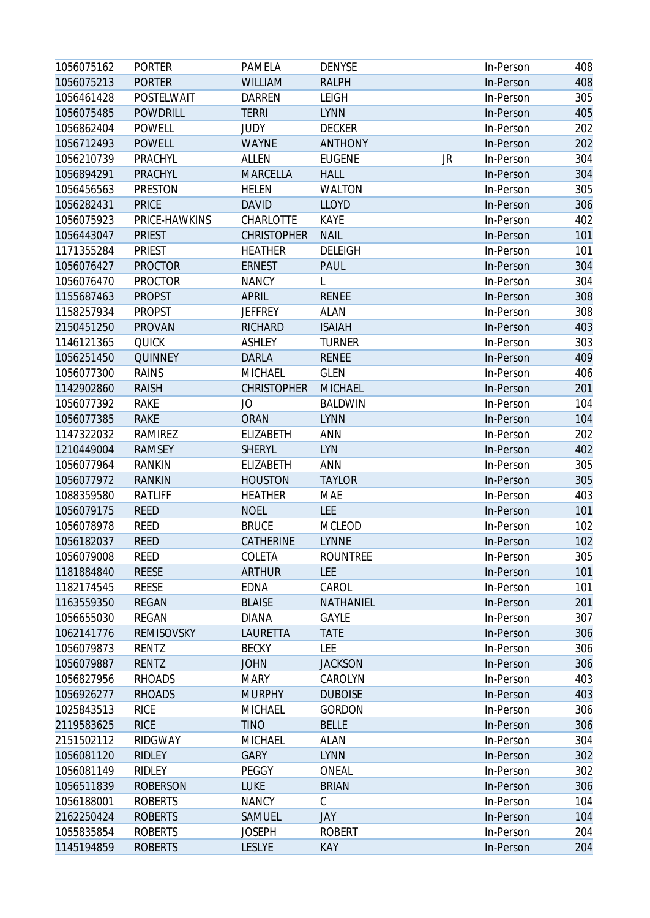| 1056075162 | <b>PORTER</b>     | <b>PAMELA</b>      | <b>DENYSE</b>   | In-Person       | 408 |
|------------|-------------------|--------------------|-----------------|-----------------|-----|
| 1056075213 | <b>PORTER</b>     | <b>WILLIAM</b>     | <b>RALPH</b>    | In-Person       | 408 |
| 1056461428 | POSTELWAIT        | <b>DARREN</b>      | <b>LEIGH</b>    | In-Person       | 305 |
| 1056075485 | <b>POWDRILL</b>   | <b>TERRI</b>       | <b>LYNN</b>     | In-Person       | 405 |
| 1056862404 | <b>POWELL</b>     | <b>JUDY</b>        | <b>DECKER</b>   | In-Person       | 202 |
| 1056712493 | <b>POWELL</b>     | <b>WAYNE</b>       | <b>ANTHONY</b>  | In-Person       | 202 |
| 1056210739 | PRACHYL           | <b>ALLEN</b>       | <b>EUGENE</b>   | JR<br>In-Person | 304 |
| 1056894291 | PRACHYL           | MARCELLA           | <b>HALL</b>     | In-Person       | 304 |
| 1056456563 | PRESTON           | <b>HELEN</b>       | <b>WALTON</b>   | In-Person       | 305 |
| 1056282431 | <b>PRICE</b>      | <b>DAVID</b>       | <b>LLOYD</b>    | In-Person       | 306 |
| 1056075923 | PRICE-HAWKINS     | CHARLOTTE          | <b>KAYE</b>     | In-Person       | 402 |
| 1056443047 | <b>PRIEST</b>     | <b>CHRISTOPHER</b> | <b>NAIL</b>     | In-Person       | 101 |
| 1171355284 | <b>PRIEST</b>     | <b>HEATHER</b>     | <b>DELEIGH</b>  | In-Person       | 101 |
| 1056076427 | <b>PROCTOR</b>    | <b>ERNEST</b>      | PAUL            | In-Person       | 304 |
| 1056076470 | <b>PROCTOR</b>    | <b>NANCY</b>       | L.              | In-Person       | 304 |
| 1155687463 | <b>PROPST</b>     | <b>APRIL</b>       | <b>RENEE</b>    | In-Person       | 308 |
| 1158257934 | <b>PROPST</b>     | <b>JEFFREY</b>     | <b>ALAN</b>     | In-Person       | 308 |
| 2150451250 | <b>PROVAN</b>     | <b>RICHARD</b>     | <b>ISAIAH</b>   | In-Person       | 403 |
| 1146121365 | <b>QUICK</b>      | <b>ASHLEY</b>      | <b>TURNER</b>   | In-Person       | 303 |
| 1056251450 | QUINNEY           | <b>DARLA</b>       | <b>RENEE</b>    | In-Person       | 409 |
| 1056077300 | <b>RAINS</b>      | <b>MICHAEL</b>     | <b>GLEN</b>     | In-Person       | 406 |
| 1142902860 | <b>RAISH</b>      | <b>CHRISTOPHER</b> | <b>MICHAEL</b>  | In-Person       | 201 |
| 1056077392 | RAKE              | JO                 | <b>BALDWIN</b>  | In-Person       | 104 |
| 1056077385 | RAKE              | <b>ORAN</b>        | <b>LYNN</b>     | In-Person       | 104 |
| 1147322032 | RAMIREZ           | ELIZABETH          | ANN             | In-Person       | 202 |
| 1210449004 | <b>RAMSEY</b>     | <b>SHERYL</b>      | <b>LYN</b>      | In-Person       | 402 |
| 1056077964 | <b>RANKIN</b>     | ELIZABETH          | ANN             | In-Person       | 305 |
| 1056077972 | <b>RANKIN</b>     | <b>HOUSTON</b>     | <b>TAYLOR</b>   | In-Person       | 305 |
| 1088359580 | RATLIFF           | <b>HEATHER</b>     | MAE             | In-Person       | 403 |
| 1056079175 | <b>REED</b>       | <b>NOEL</b>        | LEE             | In-Person       | 101 |
| 1056078978 | REED              | <b>BRUCE</b>       | <b>MCLEOD</b>   | In-Person       | 102 |
| 1056182037 | <b>REED</b>       | CATHERINE          | <b>LYNNE</b>    | In-Person       | 102 |
| 1056079008 | REED              | COLETA             | <b>ROUNTREE</b> | In-Person       | 305 |
| 1181884840 | <b>REESE</b>      | <b>ARTHUR</b>      | <b>LEE</b>      | In-Person       | 101 |
| 1182174545 | <b>REESE</b>      | <b>EDNA</b>        | CAROL           | In-Person       | 101 |
| 1163559350 | <b>REGAN</b>      | <b>BLAISE</b>      | NATHANIEL       | In-Person       | 201 |
| 1056655030 | <b>REGAN</b>      | <b>DIANA</b>       | <b>GAYLE</b>    | In-Person       | 307 |
| 1062141776 | <b>REMISOVSKY</b> | LAURETTA           | <b>TATE</b>     | In-Person       | 306 |
| 1056079873 | RENTZ             | <b>BECKY</b>       | LEE             | In-Person       | 306 |
| 1056079887 | <b>RENTZ</b>      | <b>JOHN</b>        | <b>JACKSON</b>  | In-Person       | 306 |
| 1056827956 | <b>RHOADS</b>     | <b>MARY</b>        | CAROLYN         | In-Person       | 403 |
| 1056926277 | <b>RHOADS</b>     | <b>MURPHY</b>      | <b>DUBOISE</b>  | In-Person       | 403 |
| 1025843513 | <b>RICE</b>       | <b>MICHAEL</b>     | <b>GORDON</b>   | In-Person       | 306 |
| 2119583625 | <b>RICE</b>       | <b>TINO</b>        | <b>BELLE</b>    | In-Person       | 306 |
| 2151502112 | <b>RIDGWAY</b>    | <b>MICHAEL</b>     | <b>ALAN</b>     | In-Person       | 304 |
| 1056081120 | <b>RIDLEY</b>     | <b>GARY</b>        | <b>LYNN</b>     | In-Person       | 302 |
| 1056081149 | RIDLEY            | PEGGY              | ONEAL           | In-Person       | 302 |
| 1056511839 | <b>ROBERSON</b>   | <b>LUKE</b>        | <b>BRIAN</b>    | In-Person       | 306 |
| 1056188001 | <b>ROBERTS</b>    | <b>NANCY</b>       | C               | In-Person       | 104 |
| 2162250424 | <b>ROBERTS</b>    | SAMUEL             | <b>JAY</b>      | In-Person       | 104 |
| 1055835854 | <b>ROBERTS</b>    | <b>JOSEPH</b>      | <b>ROBERT</b>   | In-Person       | 204 |
| 1145194859 | <b>ROBERTS</b>    | LESLYE             | <b>KAY</b>      | In-Person       | 204 |
|            |                   |                    |                 |                 |     |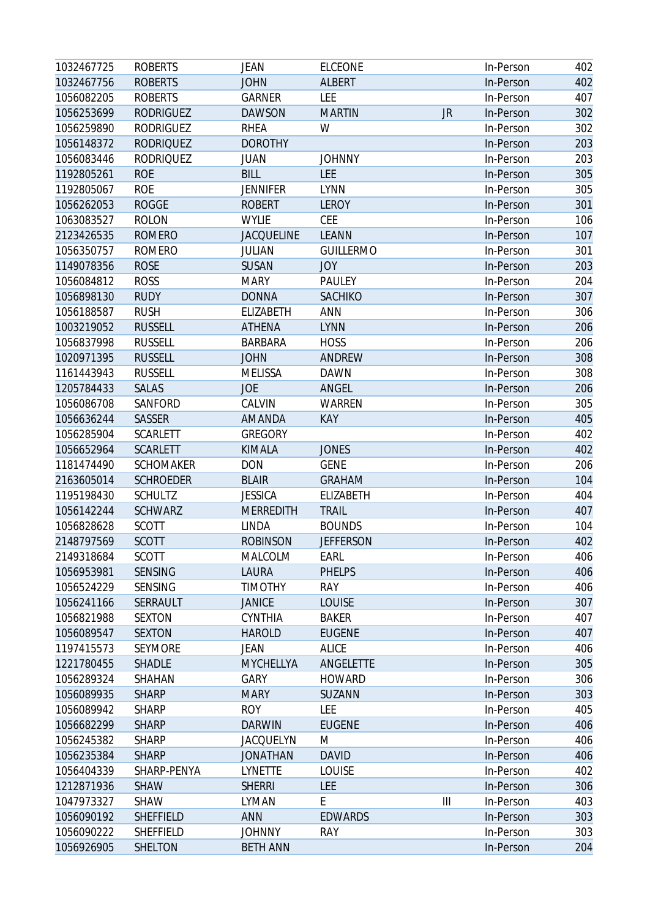| 1032467725 | <b>ROBERTS</b>   | <b>JEAN</b>       | <b>ELCEONE</b>   |           | In-Person | 402 |
|------------|------------------|-------------------|------------------|-----------|-----------|-----|
| 1032467756 | <b>ROBERTS</b>   | <b>JOHN</b>       | ALBERT           |           | In-Person | 402 |
| 1056082205 | <b>ROBERTS</b>   | GARNER            | LEE              |           | In-Person | 407 |
| 1056253699 | <b>RODRIGUEZ</b> | <b>DAWSON</b>     | <b>MARTIN</b>    | <b>JR</b> | In-Person | 302 |
| 1056259890 | <b>RODRIGUEZ</b> | <b>RHEA</b>       | W                |           | In-Person | 302 |
| 1056148372 | <b>RODRIQUEZ</b> | <b>DOROTHY</b>    |                  |           | In-Person | 203 |
| 1056083446 | <b>RODRIQUEZ</b> | <b>JUAN</b>       | <b>JOHNNY</b>    |           | In-Person | 203 |
| 1192805261 | <b>ROE</b>       | <b>BILL</b>       | LEE              |           | In-Person | 305 |
| 1192805067 | <b>ROE</b>       | <b>JENNIFER</b>   | <b>LYNN</b>      |           | In-Person | 305 |
| 1056262053 | <b>ROGGE</b>     | <b>ROBERT</b>     | <b>LEROY</b>     |           | In-Person | 301 |
| 1063083527 | <b>ROLON</b>     | <b>WYLIE</b>      | <b>CEE</b>       |           | In-Person | 106 |
| 2123426535 | <b>ROMERO</b>    | <b>JACQUELINE</b> | <b>LEANN</b>     |           | In-Person | 107 |
| 1056350757 | <b>ROMERO</b>    | <b>JULIAN</b>     | <b>GUILLERMO</b> |           | In-Person | 301 |
| 1149078356 | <b>ROSE</b>      | <b>SUSAN</b>      | <b>JOY</b>       |           | In-Person | 203 |
| 1056084812 | <b>ROSS</b>      | <b>MARY</b>       | <b>PAULEY</b>    |           | In-Person | 204 |
| 1056898130 | <b>RUDY</b>      | <b>DONNA</b>      | SACHIKO          |           | In-Person | 307 |
| 1056188587 | <b>RUSH</b>      | ELIZABETH         | <b>ANN</b>       |           | In-Person | 306 |
| 1003219052 | <b>RUSSELL</b>   | <b>ATHENA</b>     | <b>LYNN</b>      |           | In-Person | 206 |
| 1056837998 | <b>RUSSELL</b>   | <b>BARBARA</b>    | <b>HOSS</b>      |           | In-Person | 206 |
| 1020971395 | <b>RUSSELL</b>   | <b>JOHN</b>       | <b>ANDREW</b>    |           | In-Person | 308 |
| 1161443943 | <b>RUSSELL</b>   | <b>MELISSA</b>    | <b>DAWN</b>      |           | In-Person | 308 |
| 1205784433 | <b>SALAS</b>     | <b>JOE</b>        | <b>ANGEL</b>     |           | In-Person | 206 |
| 1056086708 | SANFORD          | CALVIN            | WARREN           |           | In-Person | 305 |
| 1056636244 | SASSER           | AMANDA            | KAY              |           | In-Person | 405 |
| 1056285904 | <b>SCARLETT</b>  | <b>GREGORY</b>    |                  |           | In-Person | 402 |
| 1056652964 | <b>SCARLETT</b>  | <b>KIMALA</b>     | <b>JONES</b>     |           | In-Person | 402 |
| 1181474490 | <b>SCHOMAKER</b> | <b>DON</b>        | <b>GENE</b>      |           | In-Person | 206 |
| 2163605014 | <b>SCHROEDER</b> | <b>BLAIR</b>      | <b>GRAHAM</b>    |           | In-Person | 104 |
| 1195198430 | <b>SCHULTZ</b>   | <b>JESSICA</b>    | ELIZABETH        |           | In-Person | 404 |
| 1056142244 | <b>SCHWARZ</b>   | <b>MERREDITH</b>  | <b>TRAIL</b>     |           | In-Person | 407 |
| 1056828628 | <b>SCOTT</b>     | <b>LINDA</b>      | <b>BOUNDS</b>    |           | In-Person | 104 |
| 2148797569 | <b>SCOTT</b>     | <b>ROBINSON</b>   | <b>JEFFERSON</b> |           | In-Person | 402 |
| 2149318684 | <b>SCOTT</b>     | MALCOLM           | EARL             |           | In-Person | 406 |
| 1056953981 | <b>SENSING</b>   | <b>LAURA</b>      | <b>PHELPS</b>    |           | In-Person | 406 |
| 1056524229 | SENSING          | <b>TIMOTHY</b>    | <b>RAY</b>       |           | In-Person | 406 |
| 1056241166 | SERRAULT         | <b>JANICE</b>     | <b>LOUISE</b>    |           | In-Person | 307 |
| 1056821988 | <b>SEXTON</b>    | <b>CYNTHIA</b>    | <b>BAKER</b>     |           | In-Person | 407 |
| 1056089547 | <b>SEXTON</b>    | <b>HAROLD</b>     | <b>EUGENE</b>    |           | In-Person | 407 |
| 1197415573 | <b>SEYMORE</b>   | <b>JEAN</b>       | <b>ALICE</b>     |           | In-Person | 406 |
| 1221780455 | <b>SHADLE</b>    | MYCHELLYA         | ANGELETTE        |           | In-Person | 305 |
| 1056289324 | SHAHAN           | <b>GARY</b>       | <b>HOWARD</b>    |           | In-Person | 306 |
| 1056089935 | <b>SHARP</b>     | <b>MARY</b>       | <b>SUZANN</b>    |           | In-Person | 303 |
| 1056089942 | <b>SHARP</b>     | <b>ROY</b>        | LEE              |           | In-Person | 405 |
| 1056682299 | <b>SHARP</b>     | <b>DARWIN</b>     | <b>EUGENE</b>    |           | In-Person | 406 |
| 1056245382 | <b>SHARP</b>     | <b>JACQUELYN</b>  | M                |           | In-Person | 406 |
| 1056235384 | <b>SHARP</b>     | <b>JONATHAN</b>   | <b>DAVID</b>     |           | In-Person | 406 |
| 1056404339 | SHARP-PENYA      | LYNETTE           | LOUISE           |           | In-Person | 402 |
| 1212871936 | <b>SHAW</b>      | <b>SHERRI</b>     | <b>LEE</b>       |           | In-Person | 306 |
| 1047973327 | <b>SHAW</b>      | LYMAN             | E                | Ш         | In-Person | 403 |
| 1056090192 | <b>SHEFFIELD</b> | <b>ANN</b>        | <b>EDWARDS</b>   |           | In-Person | 303 |
| 1056090222 | SHEFFIELD        | <b>JOHNNY</b>     | <b>RAY</b>       |           | In-Person | 303 |
| 1056926905 | SHELTON          | <b>BETH ANN</b>   |                  |           | In-Person | 204 |
|            |                  |                   |                  |           |           |     |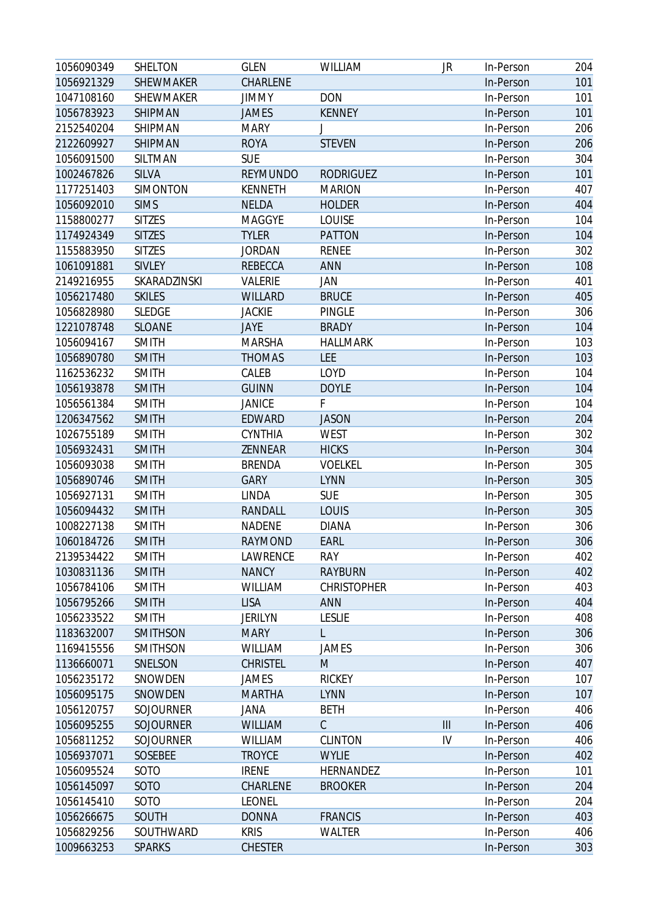| 1056090349 | SHELTON          | <b>GLEN</b>     | <b>WILLIAM</b>     | JR                                    | In-Person | 204 |
|------------|------------------|-----------------|--------------------|---------------------------------------|-----------|-----|
| 1056921329 | SHEWMAKER        | CHARLENE        |                    |                                       | In-Person | 101 |
| 1047108160 | <b>SHEWMAKER</b> | <b>JIMMY</b>    | <b>DON</b>         |                                       | In-Person | 101 |
| 1056783923 | SHIPMAN          | <b>JAMES</b>    | <b>KENNEY</b>      |                                       | In-Person | 101 |
| 2152540204 | SHIPMAN          | <b>MARY</b>     |                    |                                       | In-Person | 206 |
| 2122609927 | SHIPMAN          | <b>ROYA</b>     | <b>STEVEN</b>      |                                       | In-Person | 206 |
| 1056091500 | SILTMAN          | <b>SUE</b>      |                    |                                       | In-Person | 304 |
| 1002467826 | <b>SILVA</b>     | <b>REYMUNDO</b> | <b>RODRIGUEZ</b>   |                                       | In-Person | 101 |
| 1177251403 | <b>SIMONTON</b>  | <b>KENNETH</b>  | <b>MARION</b>      |                                       | In-Person | 407 |
| 1056092010 | <b>SIMS</b>      | <b>NELDA</b>    | <b>HOLDER</b>      |                                       | In-Person | 404 |
| 1158800277 | <b>SITZES</b>    | <b>MAGGYE</b>   | LOUISE             |                                       | In-Person | 104 |
| 1174924349 | <b>SITZES</b>    | <b>TYLER</b>    | <b>PATTON</b>      |                                       | In-Person | 104 |
| 1155883950 | <b>SITZES</b>    | <b>JORDAN</b>   | <b>RENEE</b>       |                                       | In-Person | 302 |
| 1061091881 | SIVLEY           | <b>REBECCA</b>  | <b>ANN</b>         |                                       | In-Person | 108 |
| 2149216955 | SKARADZINSKI     | VALERIE         | JAN                |                                       | In-Person | 401 |
| 1056217480 | <b>SKILES</b>    | <b>WILLARD</b>  | <b>BRUCE</b>       |                                       | In-Person | 405 |
| 1056828980 | <b>SLEDGE</b>    | <b>JACKIE</b>   | <b>PINGLE</b>      |                                       | In-Person | 306 |
| 1221078748 | <b>SLOANE</b>    | JAYE            | <b>BRADY</b>       |                                       | In-Person | 104 |
| 1056094167 | <b>SMITH</b>     | <b>MARSHA</b>   | <b>HALLMARK</b>    |                                       | In-Person | 103 |
| 1056890780 | <b>SMITH</b>     | <b>THOMAS</b>   | <b>LEE</b>         |                                       | In-Person | 103 |
| 1162536232 | <b>SMITH</b>     | CALEB           | LOYD               |                                       | In-Person | 104 |
| 1056193878 | <b>SMITH</b>     | <b>GUINN</b>    | <b>DOYLE</b>       |                                       | In-Person | 104 |
| 1056561384 | <b>SMITH</b>     | <b>JANICE</b>   | F                  |                                       | In-Person | 104 |
| 1206347562 | <b>SMITH</b>     | EDWARD          | <b>JASON</b>       |                                       | In-Person | 204 |
| 1026755189 | <b>SMITH</b>     | <b>CYNTHIA</b>  | <b>WEST</b>        |                                       | In-Person | 302 |
| 1056932431 | <b>SMITH</b>     | ZENNEAR         | <b>HICKS</b>       |                                       | In-Person | 304 |
| 1056093038 | <b>SMITH</b>     | <b>BRENDA</b>   | <b>VOELKEL</b>     |                                       | In-Person | 305 |
| 1056890746 | <b>SMITH</b>     | <b>GARY</b>     | <b>LYNN</b>        |                                       | In-Person | 305 |
| 1056927131 | <b>SMITH</b>     | LINDA           | <b>SUE</b>         |                                       | In-Person | 305 |
| 1056094432 | <b>SMITH</b>     | RANDALL         | <b>LOUIS</b>       |                                       | In-Person | 305 |
| 1008227138 | <b>SMITH</b>     | <b>NADENE</b>   | <b>DIANA</b>       |                                       | In-Person | 306 |
| 1060184726 | <b>SMITH</b>     | <b>RAYMOND</b>  | <b>EARL</b>        |                                       | In-Person | 306 |
| 2139534422 | <b>SMITH</b>     | LAWRENCE        | <b>RAY</b>         |                                       | In-Person | 402 |
| 1030831136 | <b>SMITH</b>     | <b>NANCY</b>    | <b>RAYBURN</b>     |                                       | In-Person | 402 |
| 1056784106 | <b>SMITH</b>     | <b>WILLIAM</b>  | <b>CHRISTOPHER</b> |                                       | In-Person | 403 |
| 1056795266 | <b>SMITH</b>     | <b>LISA</b>     | <b>ANN</b>         |                                       | In-Person | 404 |
| 1056233522 | <b>SMITH</b>     | <b>JERILYN</b>  | <b>LESLIE</b>      |                                       | In-Person | 408 |
| 1183632007 | <b>SMITHSON</b>  | <b>MARY</b>     | L                  |                                       | In-Person | 306 |
| 1169415556 | SMITHSON         | <b>WILLIAM</b>  | <b>JAMES</b>       |                                       | In-Person | 306 |
| 1136660071 | SNELSON          | <b>CHRISTEL</b> | M                  |                                       | In-Person | 407 |
| 1056235172 | SNOWDEN          | JAMES           | <b>RICKEY</b>      |                                       | In-Person | 107 |
| 1056095175 | SNOWDEN          | <b>MARTHA</b>   | <b>LYNN</b>        |                                       | In-Person | 107 |
| 1056120757 | <b>SOJOURNER</b> | JANA            | <b>BETH</b>        |                                       | In-Person | 406 |
| 1056095255 | SOJOURNER        | <b>WILLIAM</b>  | $\mathcal{C}$      | $\begin{array}{c} \hline \end{array}$ | In-Person | 406 |
| 1056811252 | SOJOURNER        | <b>WILLIAM</b>  | <b>CLINTON</b>     | IV                                    | In-Person | 406 |
| 1056937071 | SOSEBEE          | <b>TROYCE</b>   | <b>WYLIE</b>       |                                       | In-Person | 402 |
| 1056095524 | SOTO             | <b>IRENE</b>    | HERNANDEZ          |                                       | In-Person | 101 |
| 1056145097 | SOTO             | CHARLENE        | <b>BROOKER</b>     |                                       | In-Person | 204 |
| 1056145410 | SOTO             | <b>LEONEL</b>   |                    |                                       | In-Person | 204 |
| 1056266675 | SOUTH            | <b>DONNA</b>    | <b>FRANCIS</b>     |                                       | In-Person | 403 |
| 1056829256 | SOUTHWARD        | <b>KRIS</b>     | <b>WALTER</b>      |                                       | In-Person | 406 |
| 1009663253 | <b>SPARKS</b>    | <b>CHESTER</b>  |                    |                                       | In-Person | 303 |
|            |                  |                 |                    |                                       |           |     |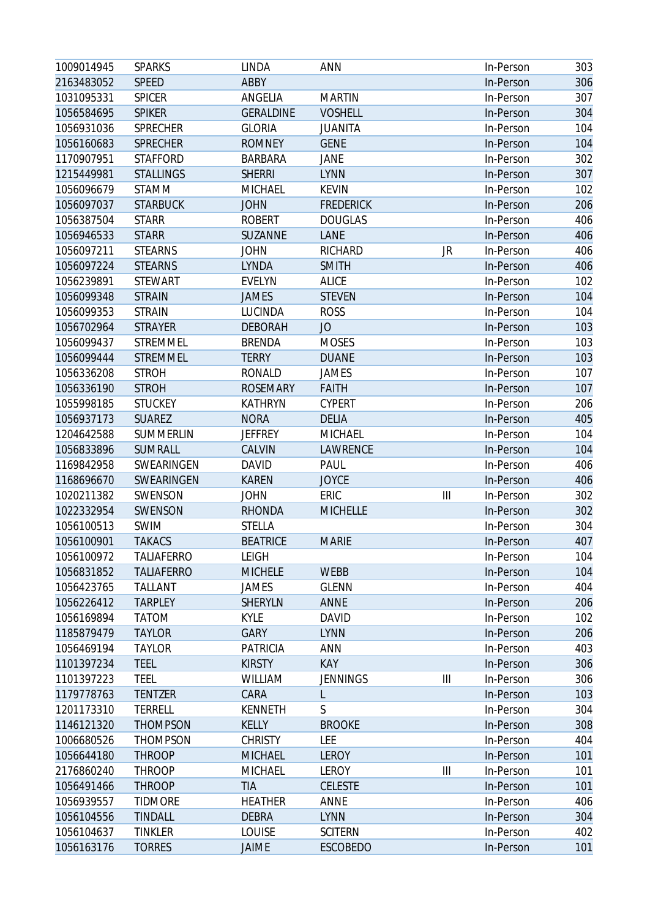| 1009014945 | <b>SPARKS</b>     | <b>LINDA</b>     | <b>ANN</b>       |    | In-Person | 303 |
|------------|-------------------|------------------|------------------|----|-----------|-----|
| 2163483052 | <b>SPEED</b>      | ABBY             |                  |    | In-Person | 306 |
| 1031095331 | <b>SPICER</b>     | ANGELIA          | <b>MARTIN</b>    |    | In-Person | 307 |
| 1056584695 | <b>SPIKER</b>     | <b>GERALDINE</b> | <b>VOSHELL</b>   |    | In-Person | 304 |
| 1056931036 | <b>SPRECHER</b>   | <b>GLORIA</b>    | <b>JUANITA</b>   |    | In-Person | 104 |
| 1056160683 | <b>SPRECHER</b>   | <b>ROMNEY</b>    | <b>GENE</b>      |    | In-Person | 104 |
| 1170907951 | <b>STAFFORD</b>   | <b>BARBARA</b>   | <b>JANE</b>      |    | In-Person | 302 |
| 1215449981 | <b>STALLINGS</b>  | <b>SHERRI</b>    | <b>LYNN</b>      |    | In-Person | 307 |
| 1056096679 | STAMM             | MICHAEL          | <b>KEVIN</b>     |    | In-Person | 102 |
| 1056097037 | <b>STARBUCK</b>   | <b>JOHN</b>      | <b>FREDERICK</b> |    | In-Person | 206 |
| 1056387504 | <b>STARR</b>      | <b>ROBERT</b>    | <b>DOUGLAS</b>   |    | In-Person | 406 |
| 1056946533 | <b>STARR</b>      | SUZANNE          | LANE             |    | In-Person | 406 |
| 1056097211 | <b>STEARNS</b>    | <b>JOHN</b>      | RICHARD          | JR | In-Person | 406 |
| 1056097224 | <b>STEARNS</b>    | <b>LYNDA</b>     | <b>SMITH</b>     |    | In-Person | 406 |
| 1056239891 | <b>STEWART</b>    | <b>EVELYN</b>    | <b>ALICE</b>     |    | In-Person | 102 |
| 1056099348 | <b>STRAIN</b>     | <b>JAMES</b>     | <b>STEVEN</b>    |    | In-Person | 104 |
| 1056099353 | <b>STRAIN</b>     | LUCINDA          | <b>ROSS</b>      |    | In-Person | 104 |
| 1056702964 | <b>STRAYER</b>    | <b>DEBORAH</b>   | JO               |    | In-Person | 103 |
| 1056099437 | <b>STREMMEL</b>   | <b>BRENDA</b>    | <b>MOSES</b>     |    | In-Person | 103 |
| 1056099444 | <b>STREMMEL</b>   | <b>TERRY</b>     | <b>DUANE</b>     |    | In-Person | 103 |
| 1056336208 | <b>STROH</b>      | <b>RONALD</b>    | <b>JAMES</b>     |    | In-Person | 107 |
| 1056336190 | <b>STROH</b>      | <b>ROSEMARY</b>  | <b>FAITH</b>     |    | In-Person | 107 |
| 1055998185 | <b>STUCKEY</b>    | <b>KATHRYN</b>   | <b>CYPERT</b>    |    | In-Person | 206 |
| 1056937173 | <b>SUAREZ</b>     | <b>NORA</b>      | <b>DELIA</b>     |    | In-Person | 405 |
| 1204642588 | SUMMERLIN         | <b>JEFFREY</b>   | MICHAEL          |    | In-Person | 104 |
| 1056833896 | SUMRALL           | CALVIN           | LAWRENCE         |    | In-Person | 104 |
| 1169842958 | SWEARINGEN        | <b>DAVID</b>     | PAUL             |    | In-Person | 406 |
| 1168696670 | SWEARINGEN        | <b>KAREN</b>     | <b>JOYCE</b>     |    | In-Person | 406 |
| 1020211382 | SWENSON           | <b>JOHN</b>      | ERIC             | Ш  | In-Person | 302 |
| 1022332954 | SWENSON           | <b>RHONDA</b>    | <b>MICHELLE</b>  |    | In-Person | 302 |
| 1056100513 | <b>SWIM</b>       | <b>STELLA</b>    |                  |    | In-Person | 304 |
| 1056100901 | <b>TAKACS</b>     | <b>BEATRICE</b>  | <b>MARIE</b>     |    | In-Person | 407 |
| 1056100972 | <b>TALIAFERRO</b> | <b>LEIGH</b>     |                  |    | In-Person | 104 |
| 1056831852 | <b>TALIAFERRO</b> | <b>MICHELE</b>   | <b>WEBB</b>      |    | In-Person | 104 |
| 1056423765 | <b>TALLANT</b>    | JAMES            | <b>GLENN</b>     |    | In-Person | 404 |
| 1056226412 | <b>TARPLEY</b>    | <b>SHERYLN</b>   | <b>ANNE</b>      |    | In-Person | 206 |
| 1056169894 | <b>TATOM</b>      | <b>KYLE</b>      | <b>DAVID</b>     |    | In-Person | 102 |
| 1185879479 | <b>TAYLOR</b>     | <b>GARY</b>      | <b>LYNN</b>      |    | In-Person | 206 |
| 1056469194 | <b>TAYLOR</b>     | PATRICIA         | <b>ANN</b>       |    | In-Person | 403 |
| 1101397234 | <b>TEEL</b>       | <b>KIRSTY</b>    | KAY              |    | In-Person | 306 |
| 1101397223 | <b>TEEL</b>       | <b>WILLIAM</b>   | <b>JENNINGS</b>  | Ш  | In-Person | 306 |
| 1179778763 | <b>TENTZER</b>    | CARA             | L                |    | In-Person | 103 |
| 1201173310 | <b>TERRELL</b>    | <b>KENNETH</b>   | S                |    | In-Person | 304 |
| 1146121320 | <b>THOMPSON</b>   | KELLY            | <b>BROOKE</b>    |    | In-Person | 308 |
| 1006680526 | <b>THOMPSON</b>   | <b>CHRISTY</b>   | LEE              |    | In-Person | 404 |
| 1056644180 | <b>THROOP</b>     | <b>MICHAEL</b>   | LEROY            |    | In-Person | 101 |
| 2176860240 | <b>THROOP</b>     | MICHAEL          | LEROY            | Ш  | In-Person | 101 |
| 1056491466 | <b>THROOP</b>     | <b>TIA</b>       | <b>CELESTE</b>   |    | In-Person | 101 |
| 1056939557 | <b>TIDMORE</b>    | <b>HEATHER</b>   | ANNE             |    | In-Person | 406 |
| 1056104556 | <b>TINDALL</b>    | <b>DEBRA</b>     | <b>LYNN</b>      |    | In-Person | 304 |
| 1056104637 | <b>TINKLER</b>    | <b>LOUISE</b>    | <b>SCITERN</b>   |    | In-Person | 402 |
| 1056163176 | <b>TORRES</b>     | JAIME            | <b>ESCOBEDO</b>  |    | In-Person | 101 |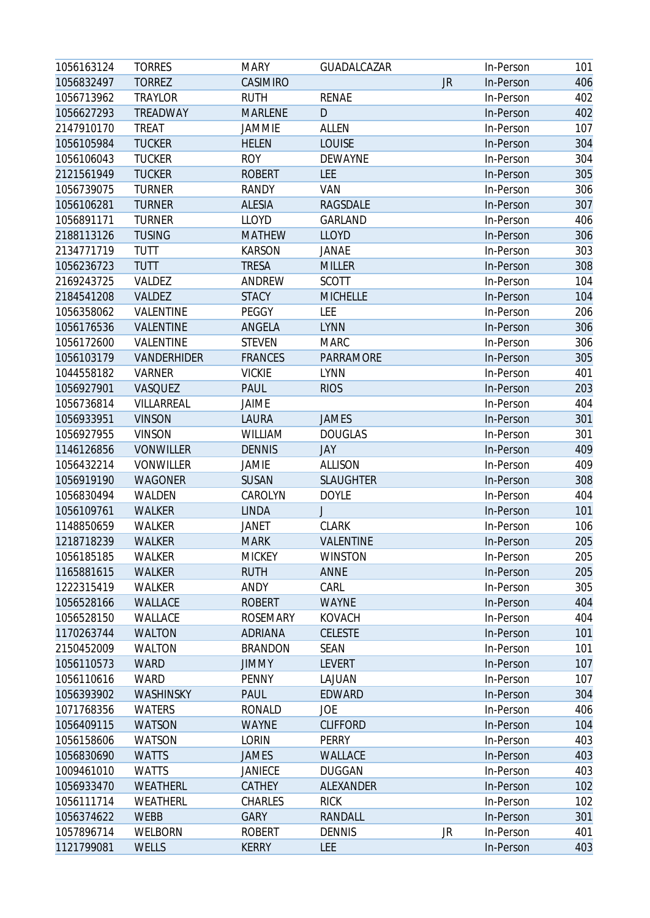| 1056163124 | <b>TORRES</b>    | <b>MARY</b>     | GUADALCAZAR      |    | In-Person | 101 |
|------------|------------------|-----------------|------------------|----|-----------|-----|
| 1056832497 | <b>TORREZ</b>    | CASIMIRO        |                  | JR | In-Person | 406 |
| 1056713962 | <b>TRAYLOR</b>   | <b>RUTH</b>     | <b>RENAE</b>     |    | In-Person | 402 |
| 1056627293 | TREADWAY         | <b>MARLENE</b>  | D                |    | In-Person | 402 |
| 2147910170 | <b>TREAT</b>     | <b>JAMMIE</b>   | <b>ALLEN</b>     |    | In-Person | 107 |
| 1056105984 | <b>TUCKER</b>    | <b>HELEN</b>    | <b>LOUISE</b>    |    | In-Person | 304 |
| 1056106043 | <b>TUCKER</b>    | <b>ROY</b>      | DEWAYNE          |    | In-Person | 304 |
| 2121561949 | <b>TUCKER</b>    | <b>ROBERT</b>   | LEE              |    | In-Person | 305 |
| 1056739075 | <b>TURNER</b>    | <b>RANDY</b>    | VAN              |    | In-Person | 306 |
| 1056106281 | <b>TURNER</b>    | <b>ALESIA</b>   | <b>RAGSDALE</b>  |    | In-Person | 307 |
| 1056891171 | <b>TURNER</b>    | <b>LLOYD</b>    | <b>GARLAND</b>   |    | In-Person | 406 |
| 2188113126 | <b>TUSING</b>    | <b>MATHEW</b>   | <b>LLOYD</b>     |    | In-Person | 306 |
| 2134771719 | <b>TUTT</b>      | <b>KARSON</b>   | JANAE            |    | In-Person | 303 |
| 1056236723 | <b>TUTT</b>      | <b>TRESA</b>    | <b>MILLER</b>    |    | In-Person | 308 |
| 2169243725 | VALDEZ           | ANDREW          | <b>SCOTT</b>     |    | In-Person | 104 |
| 2184541208 | VALDEZ           | <b>STACY</b>    | <b>MICHELLE</b>  |    | In-Person | 104 |
| 1056358062 | VALENTINE        | PEGGY           | LEE              |    | In-Person | 206 |
| 1056176536 | VALENTINE        | ANGELA          | <b>LYNN</b>      |    | In-Person | 306 |
| 1056172600 | VALENTINE        | <b>STEVEN</b>   | <b>MARC</b>      |    | In-Person | 306 |
| 1056103179 | VANDERHIDER      | <b>FRANCES</b>  | PARRAMORE        |    | In-Person | 305 |
| 1044558182 | <b>VARNER</b>    | <b>VICKIE</b>   | <b>LYNN</b>      |    | In-Person | 401 |
| 1056927901 | VASQUEZ          | <b>PAUL</b>     | <b>RIOS</b>      |    | In-Person | 203 |
| 1056736814 | VILLARREAL       | JAIME           |                  |    | In-Person | 404 |
| 1056933951 | <b>VINSON</b>    | LAURA           | <b>JAMES</b>     |    | In-Person | 301 |
| 1056927955 | <b>VINSON</b>    | <b>WILLIAM</b>  | <b>DOUGLAS</b>   |    | In-Person | 301 |
| 1146126856 | <b>VONWILLER</b> | <b>DENNIS</b>   | JAY              |    | In-Person | 409 |
| 1056432214 | <b>VONWILLER</b> | JAMIE           | <b>ALLISON</b>   |    | In-Person | 409 |
| 1056919190 | <b>WAGONER</b>   | <b>SUSAN</b>    | <b>SLAUGHTER</b> |    | In-Person | 308 |
| 1056830494 | WALDEN           | CAROLYN         | <b>DOYLE</b>     |    | In-Person | 404 |
| 1056109761 | <b>WALKER</b>    | <b>LINDA</b>    | J                |    | In-Person | 101 |
| 1148850659 | WALKER           | <b>JANET</b>    | <b>CLARK</b>     |    | In-Person | 106 |
| 1218718239 | <b>WALKER</b>    | <b>MARK</b>     | <b>VALENTINE</b> |    | In-Person | 205 |
| 1056185185 | WALKER           | <b>MICKEY</b>   | <b>WINSTON</b>   |    | In-Person | 205 |
| 1165881615 | <b>WALKER</b>    | <b>RUTH</b>     | <b>ANNE</b>      |    | In-Person | 205 |
| 1222315419 | WALKER           | ANDY            | CARL             |    | In-Person | 305 |
| 1056528166 | WALLACE          | <b>ROBERT</b>   | <b>WAYNE</b>     |    | In-Person | 404 |
| 1056528150 | WALLACE          | <b>ROSEMARY</b> | <b>KOVACH</b>    |    | In-Person | 404 |
| 1170263744 | <b>WALTON</b>    | <b>ADRIANA</b>  | <b>CELESTE</b>   |    | In-Person | 101 |
| 2150452009 | <b>WALTON</b>    | <b>BRANDON</b>  | <b>SEAN</b>      |    | In-Person | 101 |
| 1056110573 | <b>WARD</b>      | <b>JIMMY</b>    | <b>LEVERT</b>    |    | In-Person | 107 |
| 1056110616 | <b>WARD</b>      | <b>PENNY</b>    | LAJUAN           |    | In-Person | 107 |
| 1056393902 | WASHINSKY        | PAUL            | <b>EDWARD</b>    |    | In-Person | 304 |
| 1071768356 | <b>WATERS</b>    | <b>RONALD</b>   | JOE              |    | In-Person | 406 |
| 1056409115 | <b>WATSON</b>    | <b>WAYNE</b>    | <b>CLIFFORD</b>  |    | In-Person | 104 |
| 1056158606 | <b>WATSON</b>    | <b>LORIN</b>    | <b>PERRY</b>     |    | In-Person | 403 |
| 1056830690 | <b>WATTS</b>     | JAMES           | WALLACE          |    | In-Person | 403 |
| 1009461010 | <b>WATTS</b>     | <b>JANIECE</b>  | <b>DUGGAN</b>    |    | In-Person | 403 |
| 1056933470 | WEATHERL         | CATHEY          | ALEXANDER        |    | In-Person | 102 |
| 1056111714 | WEATHERL         | CHARLES         | <b>RICK</b>      |    | In-Person | 102 |
| 1056374622 | <b>WEBB</b>      | <b>GARY</b>     | RANDALL          |    | In-Person | 301 |
| 1057896714 | WELBORN          | <b>ROBERT</b>   | <b>DENNIS</b>    | JR | In-Person | 401 |
| 1121799081 | WELLS            | <b>KERRY</b>    | <b>LEE</b>       |    | In-Person | 403 |
|            |                  |                 |                  |    |           |     |